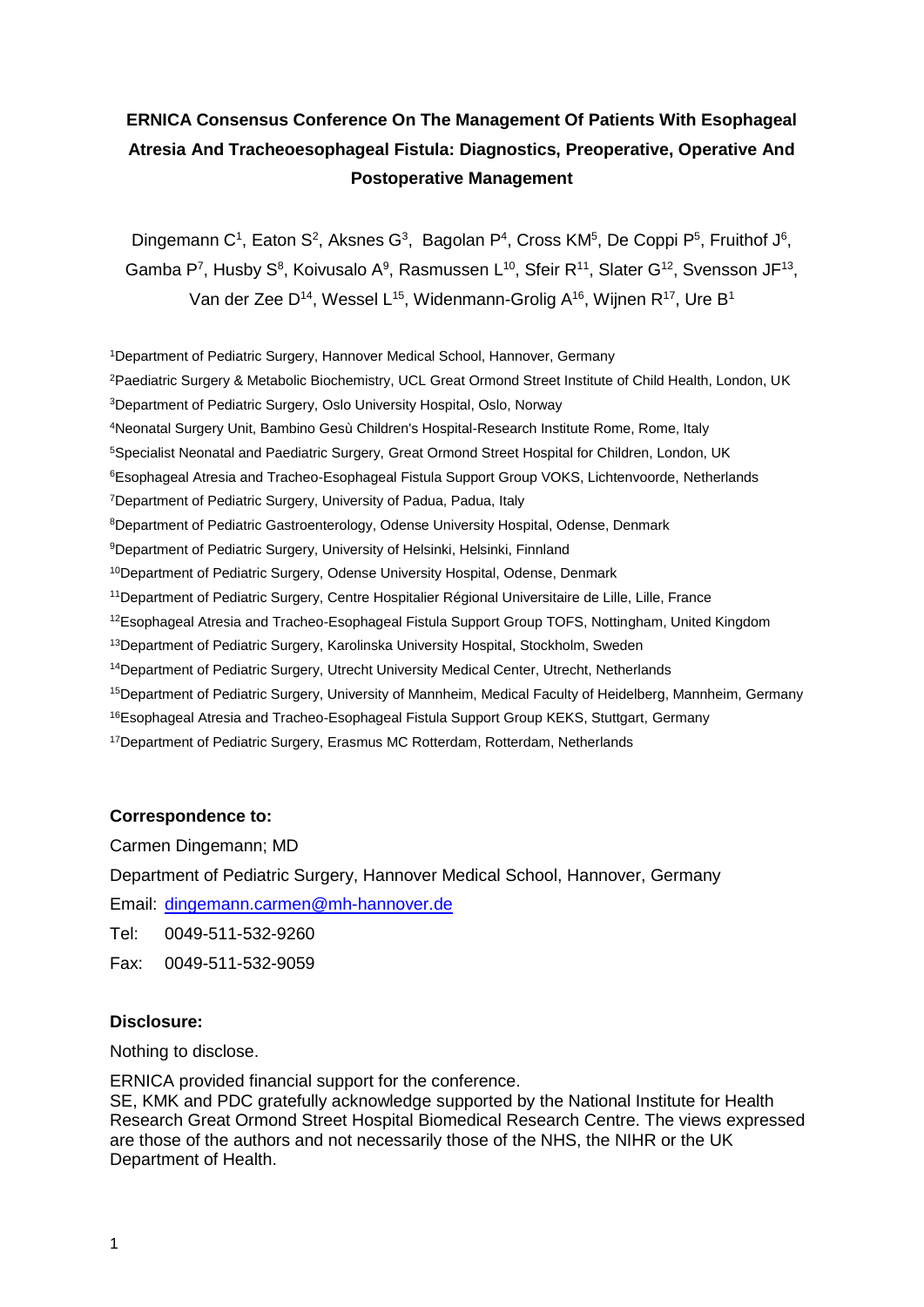# **ERNICA Consensus Conference On The Management Of Patients With Esophageal Atresia And Tracheoesophageal Fistula: Diagnostics, Preoperative, Operative And Postoperative Management**

Dingemann C<sup>1</sup>, Eaton S<sup>2</sup>, Aksnes G<sup>3</sup>, Bagolan P<sup>4</sup>, Cross KM<sup>5</sup>, De Coppi P<sup>5</sup>, Fruithof J<sup>6</sup>, Gamba P<sup>7</sup>, Husby S<sup>8</sup>, Koivusalo A<sup>9</sup>, Rasmussen L<sup>10</sup>, Sfeir R<sup>11</sup>, Slater G<sup>12</sup>, Svensson JF<sup>13</sup>, Van der Zee D<sup>14</sup>, Wessel L<sup>15</sup>, Widenmann-Grolig A<sup>16</sup>, Wijnen R<sup>17</sup>, Ure B<sup>1</sup>

Department of Pediatric Surgery, Hannover Medical School, Hannover, Germany <sup>2</sup>Paediatric Surgery & Metabolic Biochemistry, UCL Great Ormond Street Institute of Child Health, London, UK Department of Pediatric Surgery, Oslo University Hospital, Oslo, Norway Neonatal Surgery Unit, Bambino Gesù Children's Hospital-Research Institute Rome, Rome, Italy Specialist Neonatal and Paediatric Surgery, Great Ormond Street Hospital for Children, London, UK Esophageal Atresia and Tracheo-Esophageal Fistula Support Group VOKS, Lichtenvoorde, Netherlands Department of Pediatric Surgery, University of Padua, Padua, Italy Department of Pediatric Gastroenterology, Odense University Hospital, Odense, Denmark Department of Pediatric Surgery, University of Helsinki, Helsinki, Finnland Department of Pediatric Surgery, Odense University Hospital, Odense, Denmark Department of Pediatric Surgery, Centre Hospitalier Régional Universitaire de Lille, Lille, France Esophageal Atresia and Tracheo-Esophageal Fistula Support Group TOFS, Nottingham, United Kingdom <sup>13</sup>Department of Pediatric Surgery, Karolinska University Hospital, Stockholm, Sweden Department of Pediatric Surgery, Utrecht University Medical Center, Utrecht, Netherlands Department of Pediatric Surgery, University of Mannheim, Medical Faculty of Heidelberg, Mannheim, Germany <sup>16</sup>Esophageal Atresia and Tracheo-Esophageal Fistula Support Group KEKS, Stuttgart, Germany <sup>17</sup>Department of Pediatric Surgery, Erasmus MC Rotterdam, Rotterdam, Netherlands

#### **Correspondence to:**

Carmen Dingemann; MD

Department of Pediatric Surgery, Hannover Medical School, Hannover, Germany

Email: [dingemann.carmen@mh-hannover.de](mailto:dingemann.carmen@mh-hannover.de)

Tel: 0049-511-532-9260

Fax: 0049-511-532-9059

#### **Disclosure:**

Nothing to disclose.

ERNICA provided financial support for the conference.

SE, KMK and PDC gratefully acknowledge supported by the National Institute for Health Research Great Ormond Street Hospital Biomedical Research Centre. The views expressed are those of the authors and not necessarily those of the NHS, the NIHR or the UK Department of Health.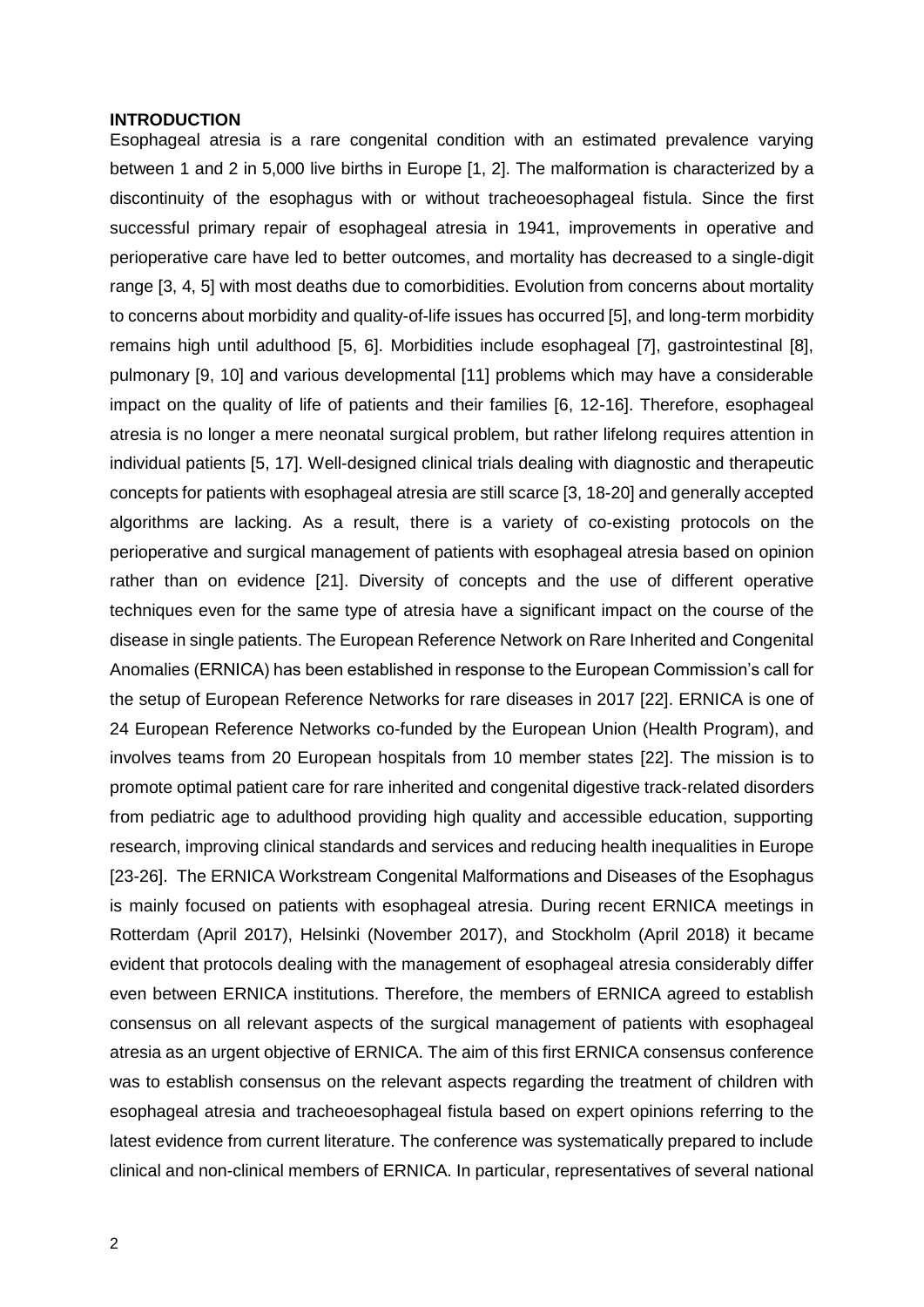#### **INTRODUCTION**

Esophageal atresia is a rare congenital condition with an estimated prevalence varying between 1 and 2 in 5,000 live births in Europe [1, 2]. The malformation is characterized by a discontinuity of the esophagus with or without tracheoesophageal fistula. Since the first successful primary repair of esophageal atresia in 1941, improvements in operative and perioperative care have led to better outcomes, and mortality has decreased to a single-digit range [3, 4, 5] with most deaths due to comorbidities. Evolution from concerns about mortality to concerns about morbidity and quality-of-life issues has occurred [5], and long-term morbidity remains high until adulthood [5, 6]. Morbidities include esophageal [7], gastrointestinal [8], pulmonary [9, 10] and various developmental [11] problems which may have a considerable impact on the quality of life of patients and their families [6, 12-16]. Therefore, esophageal atresia is no longer a mere neonatal surgical problem, but rather lifelong requires attention in individual patients [5, 17]. Well-designed clinical trials dealing with diagnostic and therapeutic concepts for patients with esophageal atresia are still scarce [3, 18-20] and generally accepted algorithms are lacking. As a result, there is a variety of co-existing protocols on the perioperative and surgical management of patients with esophageal atresia based on opinion rather than on evidence [21]. Diversity of concepts and the use of different operative techniques even for the same type of atresia have a significant impact on the course of the disease in single patients. The European Reference Network on Rare Inherited and Congenital Anomalies (ERNICA) has been established in response to the European Commission's call for the setup of European Reference Networks for rare diseases in 2017 [22]. ERNICA is one of 24 European Reference Networks co-funded by the European Union (Health Program), and involves teams from 20 European hospitals from 10 member states [22]. The mission is to promote optimal patient care for rare inherited and congenital digestive track-related disorders from pediatric age to adulthood providing high quality and accessible education, supporting research, improving clinical standards and services and reducing health inequalities in Europe [23-26]. The ERNICA Workstream Congenital Malformations and Diseases of the Esophagus is mainly focused on patients with esophageal atresia. During recent ERNICA meetings in Rotterdam (April 2017), Helsinki (November 2017), and Stockholm (April 2018) it became evident that protocols dealing with the management of esophageal atresia considerably differ even between ERNICA institutions. Therefore, the members of ERNICA agreed to establish consensus on all relevant aspects of the surgical management of patients with esophageal atresia as an urgent objective of ERNICA. The aim of this first ERNICA consensus conference was to establish consensus on the relevant aspects regarding the treatment of children with esophageal atresia and tracheoesophageal fistula based on expert opinions referring to the latest evidence from current literature. The conference was systematically prepared to include clinical and non-clinical members of ERNICA. In particular, representatives of several national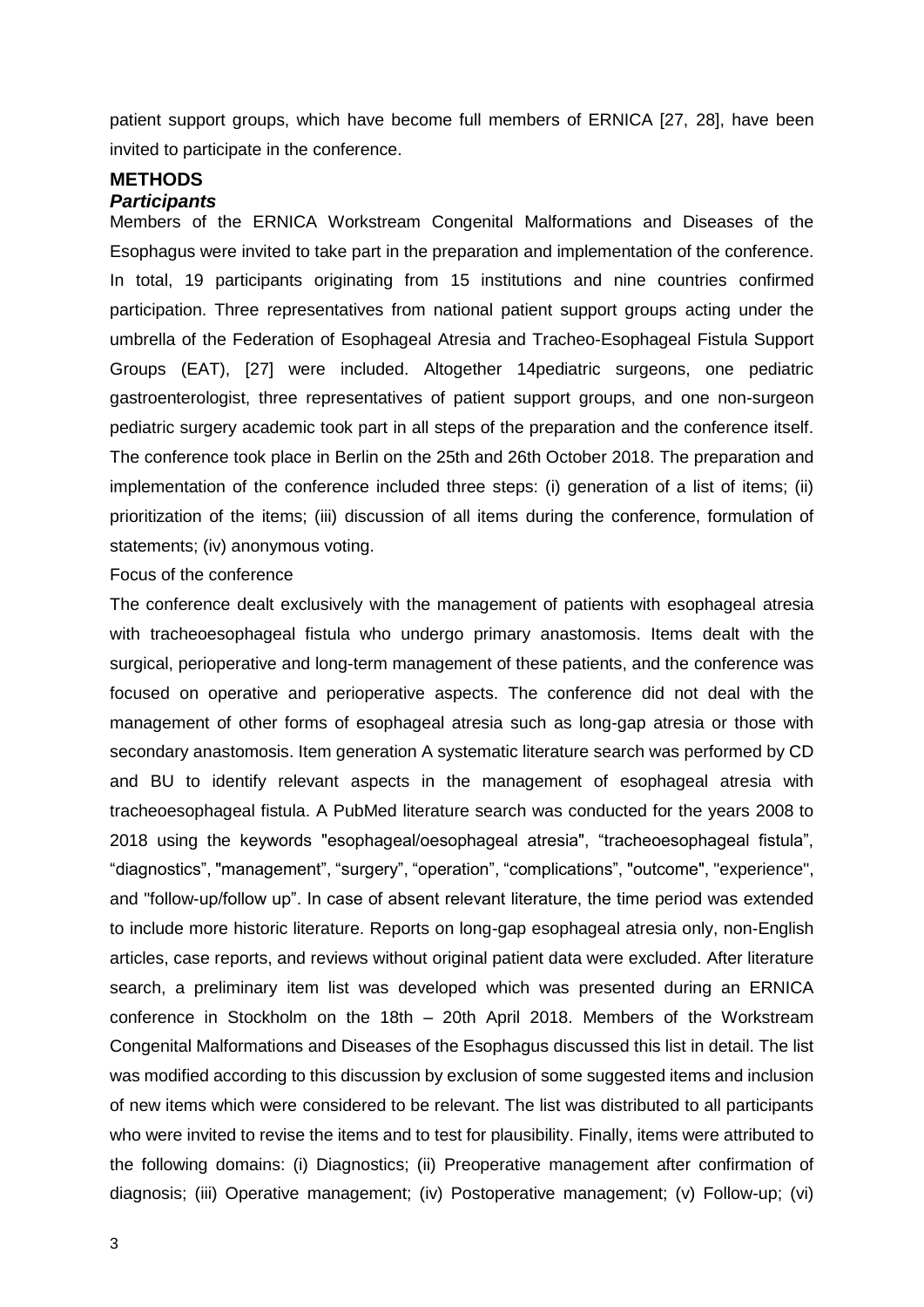patient support groups, which have become full members of ERNICA [27, 28], have been invited to participate in the conference.

#### **METHODS** *Participants*

Members of the ERNICA Workstream Congenital Malformations and Diseases of the Esophagus were invited to take part in the preparation and implementation of the conference. In total, 19 participants originating from 15 institutions and nine countries confirmed participation. Three representatives from national patient support groups acting under the umbrella of the Federation of Esophageal Atresia and Tracheo-Esophageal Fistula Support Groups (EAT), [27] were included. Altogether 14pediatric surgeons, one pediatric gastroenterologist, three representatives of patient support groups, and one non-surgeon pediatric surgery academic took part in all steps of the preparation and the conference itself. The conference took place in Berlin on the 25th and 26th October 2018. The preparation and implementation of the conference included three steps: (i) generation of a list of items; (ii) prioritization of the items; (iii) discussion of all items during the conference, formulation of statements; (iv) anonymous voting.

#### Focus of the conference

The conference dealt exclusively with the management of patients with esophageal atresia with tracheoesophageal fistula who undergo primary anastomosis. Items dealt with the surgical, perioperative and long-term management of these patients, and the conference was focused on operative and perioperative aspects. The conference did not deal with the management of other forms of esophageal atresia such as long-gap atresia or those with secondary anastomosis. Item generation A systematic literature search was performed by CD and BU to identify relevant aspects in the management of esophageal atresia with tracheoesophageal fistula. A PubMed literature search was conducted for the years 2008 to 2018 using the keywords "esophageal/oesophageal atresia", "tracheoesophageal fistula", "diagnostics", "management", "surgery", "operation", "complications", "outcome", "experience", and "follow-up/follow up". In case of absent relevant literature, the time period was extended to include more historic literature. Reports on long-gap esophageal atresia only, non-English articles, case reports, and reviews without original patient data were excluded. After literature search, a preliminary item list was developed which was presented during an ERNICA conference in Stockholm on the 18th – 20th April 2018. Members of the Workstream Congenital Malformations and Diseases of the Esophagus discussed this list in detail. The list was modified according to this discussion by exclusion of some suggested items and inclusion of new items which were considered to be relevant. The list was distributed to all participants who were invited to revise the items and to test for plausibility. Finally, items were attributed to the following domains: (i) Diagnostics; (ii) Preoperative management after confirmation of diagnosis; (iii) Operative management; (iv) Postoperative management; (v) Follow-up; (vi)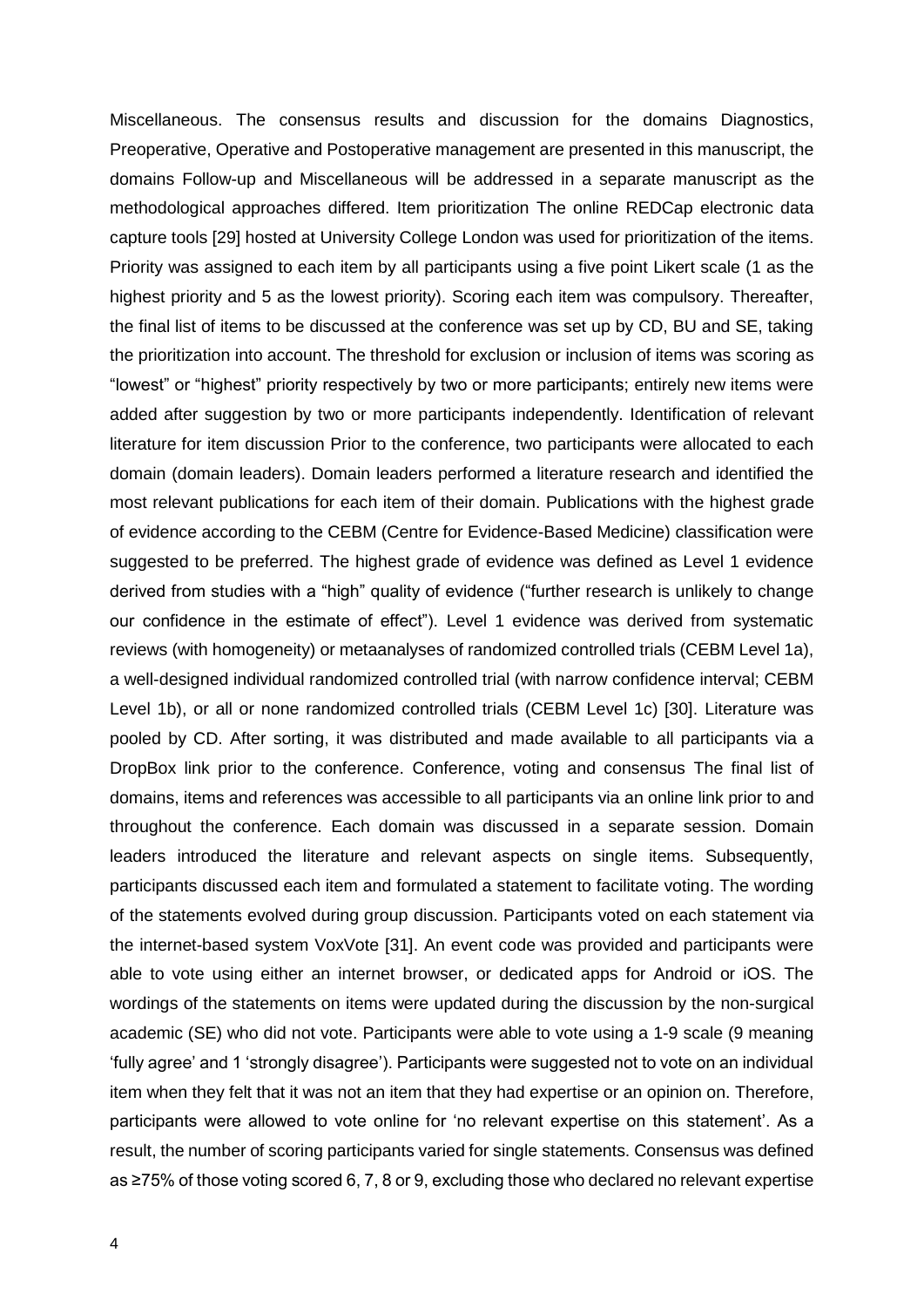Miscellaneous. The consensus results and discussion for the domains Diagnostics, Preoperative, Operative and Postoperative management are presented in this manuscript, the domains Follow-up and Miscellaneous will be addressed in a separate manuscript as the methodological approaches differed. Item prioritization The online REDCap electronic data capture tools [29] hosted at University College London was used for prioritization of the items. Priority was assigned to each item by all participants using a five point Likert scale (1 as the highest priority and 5 as the lowest priority). Scoring each item was compulsory. Thereafter, the final list of items to be discussed at the conference was set up by CD, BU and SE, taking the prioritization into account. The threshold for exclusion or inclusion of items was scoring as "lowest" or "highest" priority respectively by two or more participants; entirely new items were added after suggestion by two or more participants independently. Identification of relevant literature for item discussion Prior to the conference, two participants were allocated to each domain (domain leaders). Domain leaders performed a literature research and identified the most relevant publications for each item of their domain. Publications with the highest grade of evidence according to the CEBM (Centre for Evidence-Based Medicine) classification were suggested to be preferred. The highest grade of evidence was defined as Level 1 evidence derived from studies with a "high" quality of evidence ("further research is unlikely to change our confidence in the estimate of effect"). Level 1 evidence was derived from systematic reviews (with homogeneity) or metaanalyses of randomized controlled trials (CEBM Level 1a), a well-designed individual randomized controlled trial (with narrow confidence interval; CEBM Level 1b), or all or none randomized controlled trials (CEBM Level 1c) [30]. Literature was pooled by CD. After sorting, it was distributed and made available to all participants via a DropBox link prior to the conference. Conference, voting and consensus The final list of domains, items and references was accessible to all participants via an online link prior to and throughout the conference. Each domain was discussed in a separate session. Domain leaders introduced the literature and relevant aspects on single items. Subsequently, participants discussed each item and formulated a statement to facilitate voting. The wording of the statements evolved during group discussion. Participants voted on each statement via the internet-based system VoxVote [31]. An event code was provided and participants were able to vote using either an internet browser, or dedicated apps for Android or iOS. The wordings of the statements on items were updated during the discussion by the non-surgical academic (SE) who did not vote. Participants were able to vote using a 1-9 scale (9 meaning 'fully agree' and 1 'strongly disagree'). Participants were suggested not to vote on an individual item when they felt that it was not an item that they had expertise or an opinion on. Therefore, participants were allowed to vote online for 'no relevant expertise on this statement'. As a result, the number of scoring participants varied for single statements. Consensus was defined as ≥75% of those voting scored 6, 7, 8 or 9, excluding those who declared no relevant expertise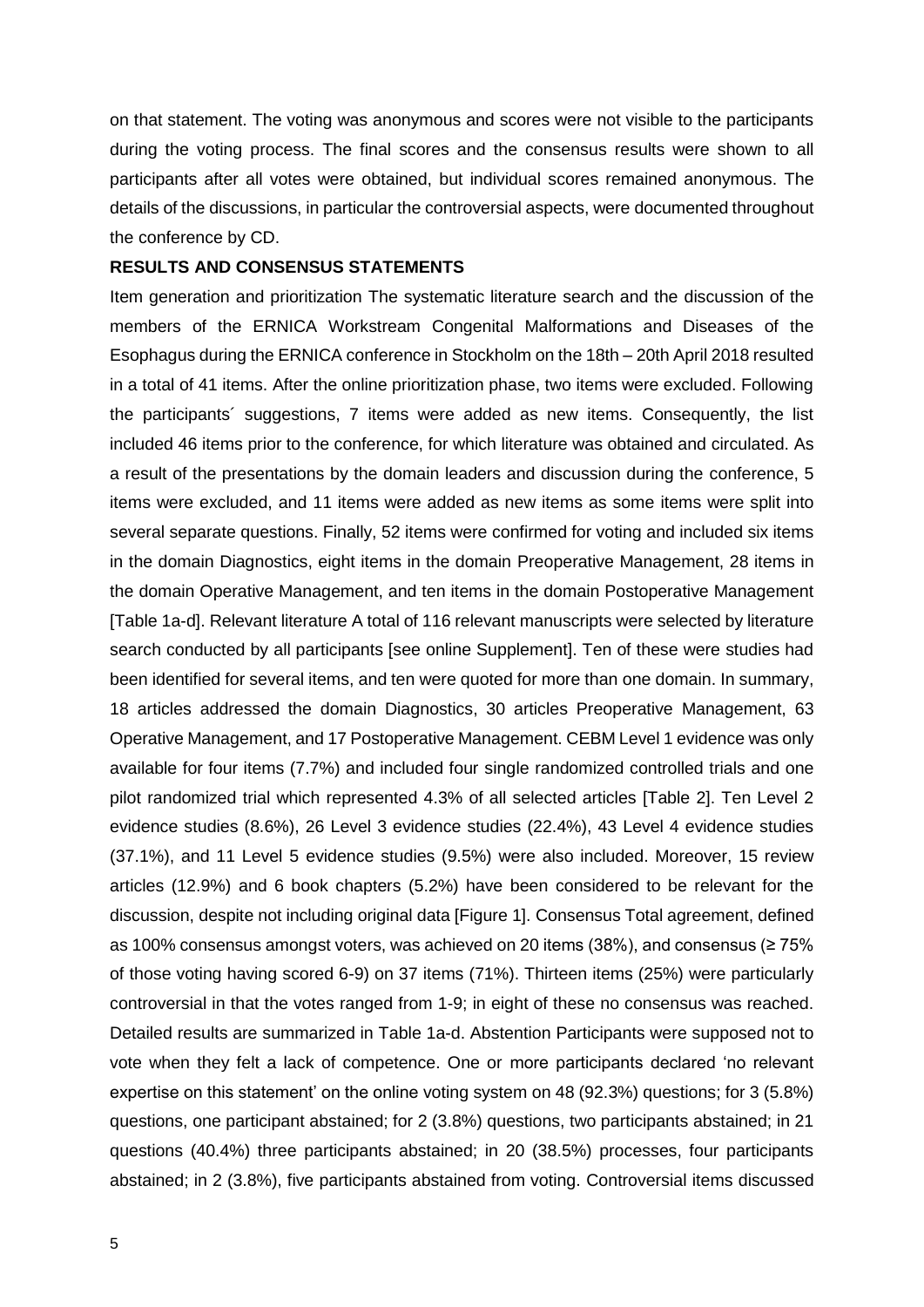on that statement. The voting was anonymous and scores were not visible to the participants during the voting process. The final scores and the consensus results were shown to all participants after all votes were obtained, but individual scores remained anonymous. The details of the discussions, in particular the controversial aspects, were documented throughout the conference by CD.

#### **RESULTS AND CONSENSUS STATEMENTS**

Item generation and prioritization The systematic literature search and the discussion of the members of the ERNICA Workstream Congenital Malformations and Diseases of the Esophagus during the ERNICA conference in Stockholm on the 18th – 20th April 2018 resulted in a total of 41 items. After the online prioritization phase, two items were excluded. Following the participants´ suggestions, 7 items were added as new items. Consequently, the list included 46 items prior to the conference, for which literature was obtained and circulated. As a result of the presentations by the domain leaders and discussion during the conference, 5 items were excluded, and 11 items were added as new items as some items were split into several separate questions. Finally, 52 items were confirmed for voting and included six items in the domain Diagnostics, eight items in the domain Preoperative Management, 28 items in the domain Operative Management, and ten items in the domain Postoperative Management [Table 1a-d]. Relevant literature A total of 116 relevant manuscripts were selected by literature search conducted by all participants [see online Supplement]. Ten of these were studies had been identified for several items, and ten were quoted for more than one domain. In summary, 18 articles addressed the domain Diagnostics, 30 articles Preoperative Management, 63 Operative Management, and 17 Postoperative Management. CEBM Level 1 evidence was only available for four items (7.7%) and included four single randomized controlled trials and one pilot randomized trial which represented 4.3% of all selected articles [Table 2]. Ten Level 2 evidence studies (8.6%), 26 Level 3 evidence studies (22.4%), 43 Level 4 evidence studies (37.1%), and 11 Level 5 evidence studies (9.5%) were also included. Moreover, 15 review articles (12.9%) and 6 book chapters (5.2%) have been considered to be relevant for the discussion, despite not including original data [Figure 1]. Consensus Total agreement, defined as 100% consensus amongst voters, was achieved on 20 items (38%), and consensus ( $\geq 75\%$ of those voting having scored 6-9) on 37 items (71%). Thirteen items (25%) were particularly controversial in that the votes ranged from 1-9; in eight of these no consensus was reached. Detailed results are summarized in Table 1a-d. Abstention Participants were supposed not to vote when they felt a lack of competence. One or more participants declared 'no relevant expertise on this statement' on the online voting system on 48 (92.3%) questions; for 3 (5.8%) questions, one participant abstained; for 2 (3.8%) questions, two participants abstained; in 21 questions (40.4%) three participants abstained; in 20 (38.5%) processes, four participants abstained; in 2 (3.8%), five participants abstained from voting. Controversial items discussed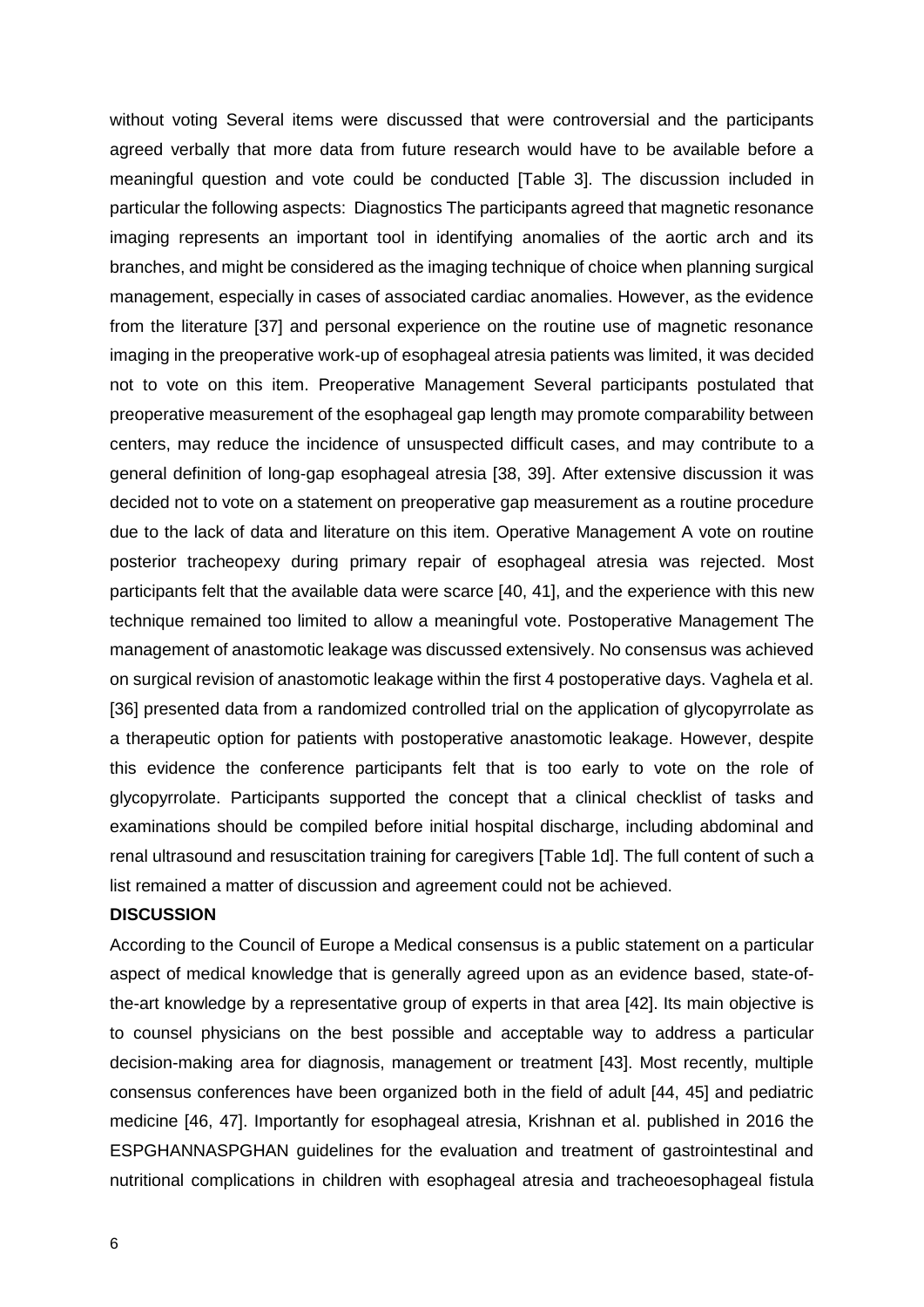without voting Several items were discussed that were controversial and the participants agreed verbally that more data from future research would have to be available before a meaningful question and vote could be conducted [Table 3]. The discussion included in particular the following aspects: Diagnostics The participants agreed that magnetic resonance imaging represents an important tool in identifying anomalies of the aortic arch and its branches, and might be considered as the imaging technique of choice when planning surgical management, especially in cases of associated cardiac anomalies. However, as the evidence from the literature [37] and personal experience on the routine use of magnetic resonance imaging in the preoperative work-up of esophageal atresia patients was limited, it was decided not to vote on this item. Preoperative Management Several participants postulated that preoperative measurement of the esophageal gap length may promote comparability between centers, may reduce the incidence of unsuspected difficult cases, and may contribute to a general definition of long-gap esophageal atresia [38, 39]. After extensive discussion it was decided not to vote on a statement on preoperative gap measurement as a routine procedure due to the lack of data and literature on this item. Operative Management A vote on routine posterior tracheopexy during primary repair of esophageal atresia was rejected. Most participants felt that the available data were scarce [40, 41], and the experience with this new technique remained too limited to allow a meaningful vote. Postoperative Management The management of anastomotic leakage was discussed extensively. No consensus was achieved on surgical revision of anastomotic leakage within the first 4 postoperative days. Vaghela et al. [36] presented data from a randomized controlled trial on the application of glycopyrrolate as a therapeutic option for patients with postoperative anastomotic leakage. However, despite this evidence the conference participants felt that is too early to vote on the role of glycopyrrolate. Participants supported the concept that a clinical checklist of tasks and examinations should be compiled before initial hospital discharge, including abdominal and renal ultrasound and resuscitation training for caregivers [Table 1d]. The full content of such a list remained a matter of discussion and agreement could not be achieved.

#### **DISCUSSION**

According to the Council of Europe a Medical consensus is a public statement on a particular aspect of medical knowledge that is generally agreed upon as an evidence based, state-ofthe-art knowledge by a representative group of experts in that area [42]. Its main objective is to counsel physicians on the best possible and acceptable way to address a particular decision-making area for diagnosis, management or treatment [43]. Most recently, multiple consensus conferences have been organized both in the field of adult [44, 45] and pediatric medicine [46, 47]. Importantly for esophageal atresia, Krishnan et al. published in 2016 the ESPGHANNASPGHAN guidelines for the evaluation and treatment of gastrointestinal and nutritional complications in children with esophageal atresia and tracheoesophageal fistula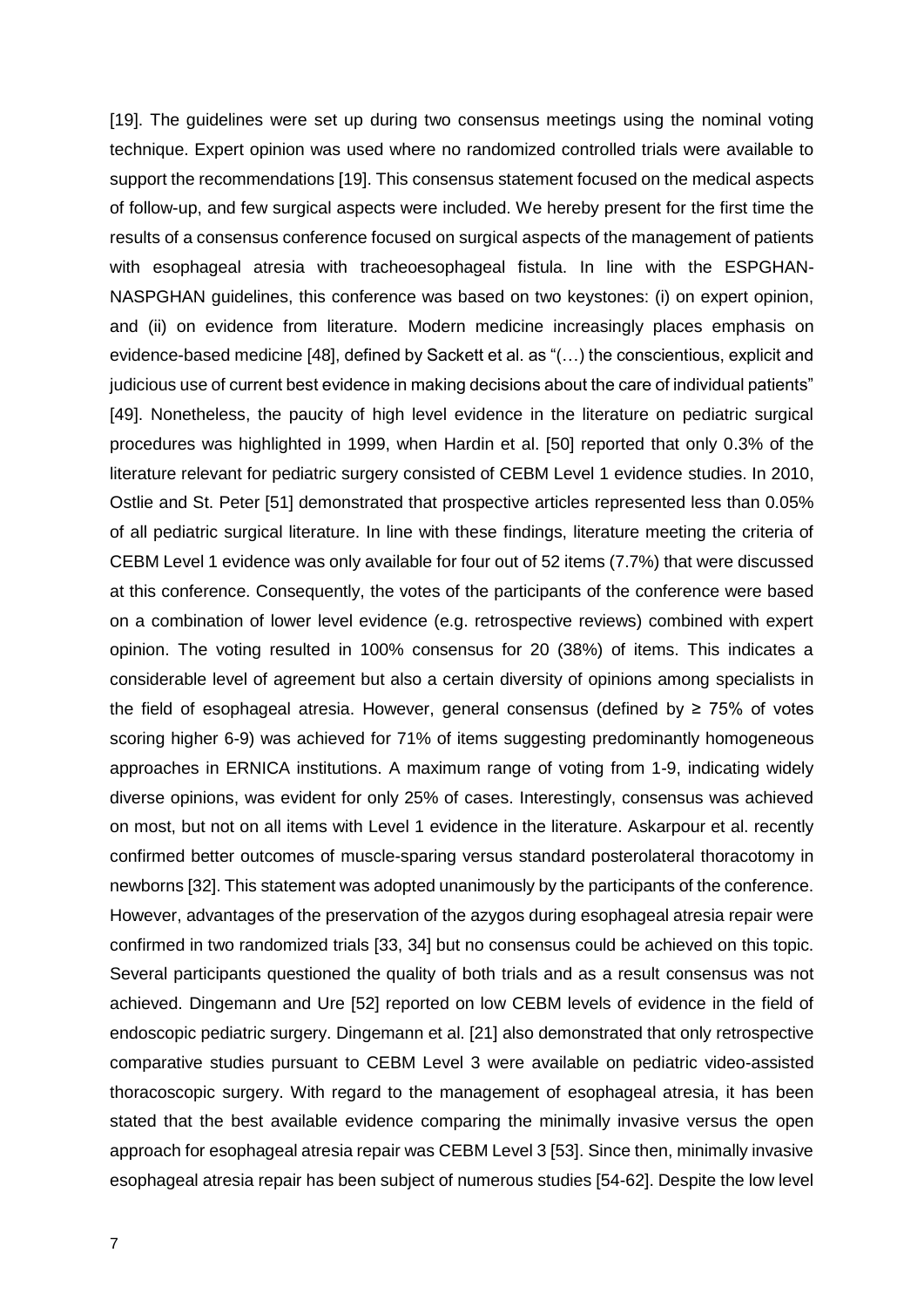[19]. The guidelines were set up during two consensus meetings using the nominal voting technique. Expert opinion was used where no randomized controlled trials were available to support the recommendations [19]. This consensus statement focused on the medical aspects of follow-up, and few surgical aspects were included. We hereby present for the first time the results of a consensus conference focused on surgical aspects of the management of patients with esophageal atresia with tracheoesophageal fistula. In line with the ESPGHAN-NASPGHAN guidelines, this conference was based on two keystones: (i) on expert opinion, and (ii) on evidence from literature. Modern medicine increasingly places emphasis on evidence-based medicine [48], defined by Sackett et al. as "(…) the conscientious, explicit and judicious use of current best evidence in making decisions about the care of individual patients" [49]. Nonetheless, the paucity of high level evidence in the literature on pediatric surgical procedures was highlighted in 1999, when Hardin et al. [50] reported that only 0.3% of the literature relevant for pediatric surgery consisted of CEBM Level 1 evidence studies. In 2010, Ostlie and St. Peter [51] demonstrated that prospective articles represented less than 0.05% of all pediatric surgical literature. In line with these findings, literature meeting the criteria of CEBM Level 1 evidence was only available for four out of 52 items (7.7%) that were discussed at this conference. Consequently, the votes of the participants of the conference were based on a combination of lower level evidence (e.g. retrospective reviews) combined with expert opinion. The voting resulted in 100% consensus for 20 (38%) of items. This indicates a considerable level of agreement but also a certain diversity of opinions among specialists in the field of esophageal atresia. However, general consensus (defined by  $\geq$  75% of votes scoring higher 6-9) was achieved for 71% of items suggesting predominantly homogeneous approaches in ERNICA institutions. A maximum range of voting from 1-9, indicating widely diverse opinions, was evident for only 25% of cases. Interestingly, consensus was achieved on most, but not on all items with Level 1 evidence in the literature. Askarpour et al. recently confirmed better outcomes of muscle-sparing versus standard posterolateral thoracotomy in newborns [32]. This statement was adopted unanimously by the participants of the conference. However, advantages of the preservation of the azygos during esophageal atresia repair were confirmed in two randomized trials [33, 34] but no consensus could be achieved on this topic. Several participants questioned the quality of both trials and as a result consensus was not achieved. Dingemann and Ure [52] reported on low CEBM levels of evidence in the field of endoscopic pediatric surgery. Dingemann et al. [21] also demonstrated that only retrospective comparative studies pursuant to CEBM Level 3 were available on pediatric video-assisted thoracoscopic surgery. With regard to the management of esophageal atresia, it has been stated that the best available evidence comparing the minimally invasive versus the open approach for esophageal atresia repair was CEBM Level 3 [53]. Since then, minimally invasive esophageal atresia repair has been subject of numerous studies [54-62]. Despite the low level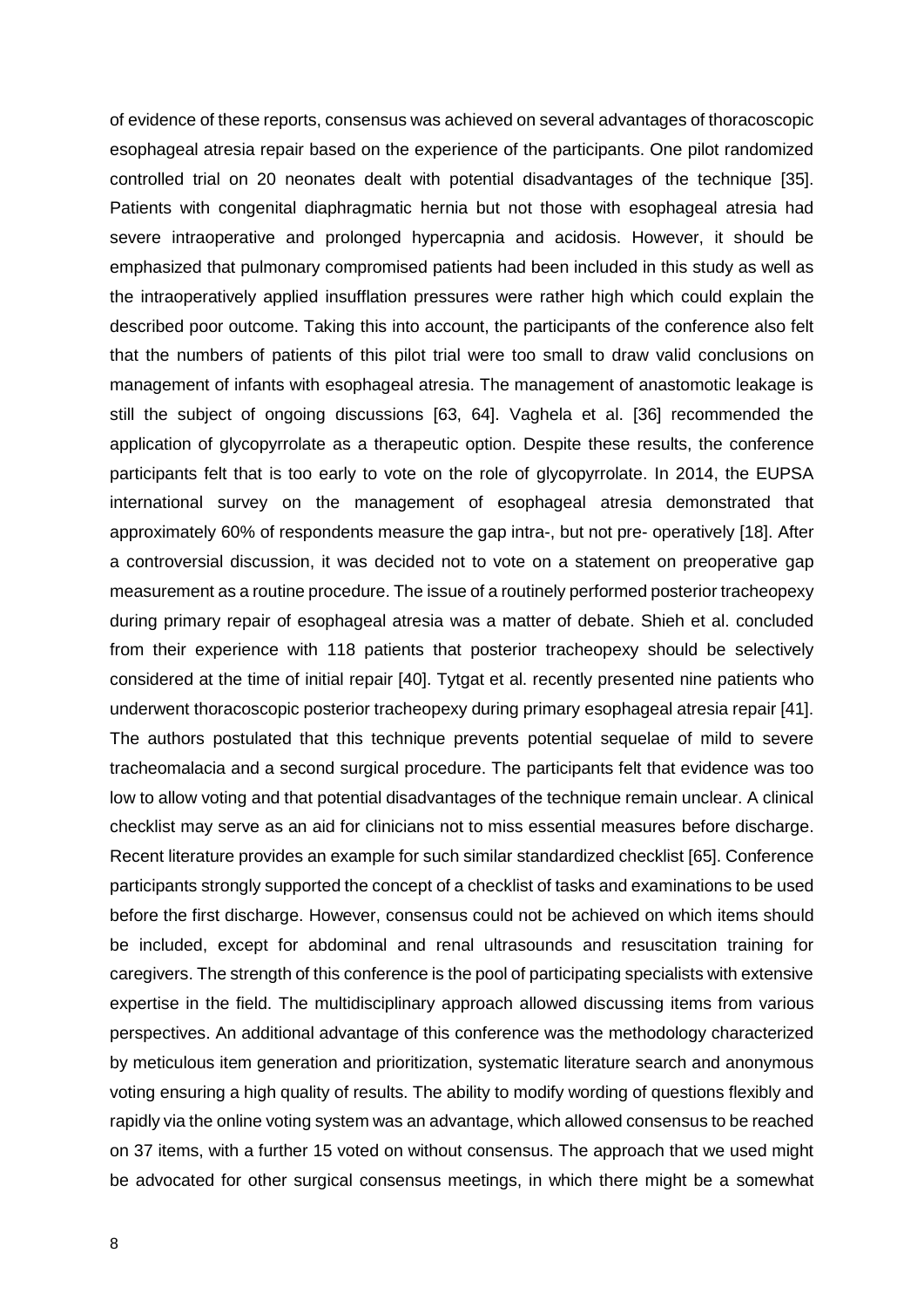of evidence of these reports, consensus was achieved on several advantages of thoracoscopic esophageal atresia repair based on the experience of the participants. One pilot randomized controlled trial on 20 neonates dealt with potential disadvantages of the technique [35]. Patients with congenital diaphragmatic hernia but not those with esophageal atresia had severe intraoperative and prolonged hypercapnia and acidosis. However, it should be emphasized that pulmonary compromised patients had been included in this study as well as the intraoperatively applied insufflation pressures were rather high which could explain the described poor outcome. Taking this into account, the participants of the conference also felt that the numbers of patients of this pilot trial were too small to draw valid conclusions on management of infants with esophageal atresia. The management of anastomotic leakage is still the subject of ongoing discussions [63, 64]. Vaghela et al. [36] recommended the application of glycopyrrolate as a therapeutic option. Despite these results, the conference participants felt that is too early to vote on the role of glycopyrrolate. In 2014, the EUPSA international survey on the management of esophageal atresia demonstrated that approximately 60% of respondents measure the gap intra-, but not pre- operatively [18]. After a controversial discussion, it was decided not to vote on a statement on preoperative gap measurement as a routine procedure. The issue of a routinely performed posterior tracheopexy during primary repair of esophageal atresia was a matter of debate. Shieh et al. concluded from their experience with 118 patients that posterior tracheopexy should be selectively considered at the time of initial repair [40]. Tytgat et al. recently presented nine patients who underwent thoracoscopic posterior tracheopexy during primary esophageal atresia repair [41]. The authors postulated that this technique prevents potential sequelae of mild to severe tracheomalacia and a second surgical procedure. The participants felt that evidence was too low to allow voting and that potential disadvantages of the technique remain unclear. A clinical checklist may serve as an aid for clinicians not to miss essential measures before discharge. Recent literature provides an example for such similar standardized checklist [65]. Conference participants strongly supported the concept of a checklist of tasks and examinations to be used before the first discharge. However, consensus could not be achieved on which items should be included, except for abdominal and renal ultrasounds and resuscitation training for caregivers. The strength of this conference is the pool of participating specialists with extensive expertise in the field. The multidisciplinary approach allowed discussing items from various perspectives. An additional advantage of this conference was the methodology characterized by meticulous item generation and prioritization, systematic literature search and anonymous voting ensuring a high quality of results. The ability to modify wording of questions flexibly and rapidly via the online voting system was an advantage, which allowed consensus to be reached on 37 items, with a further 15 voted on without consensus. The approach that we used might be advocated for other surgical consensus meetings, in which there might be a somewhat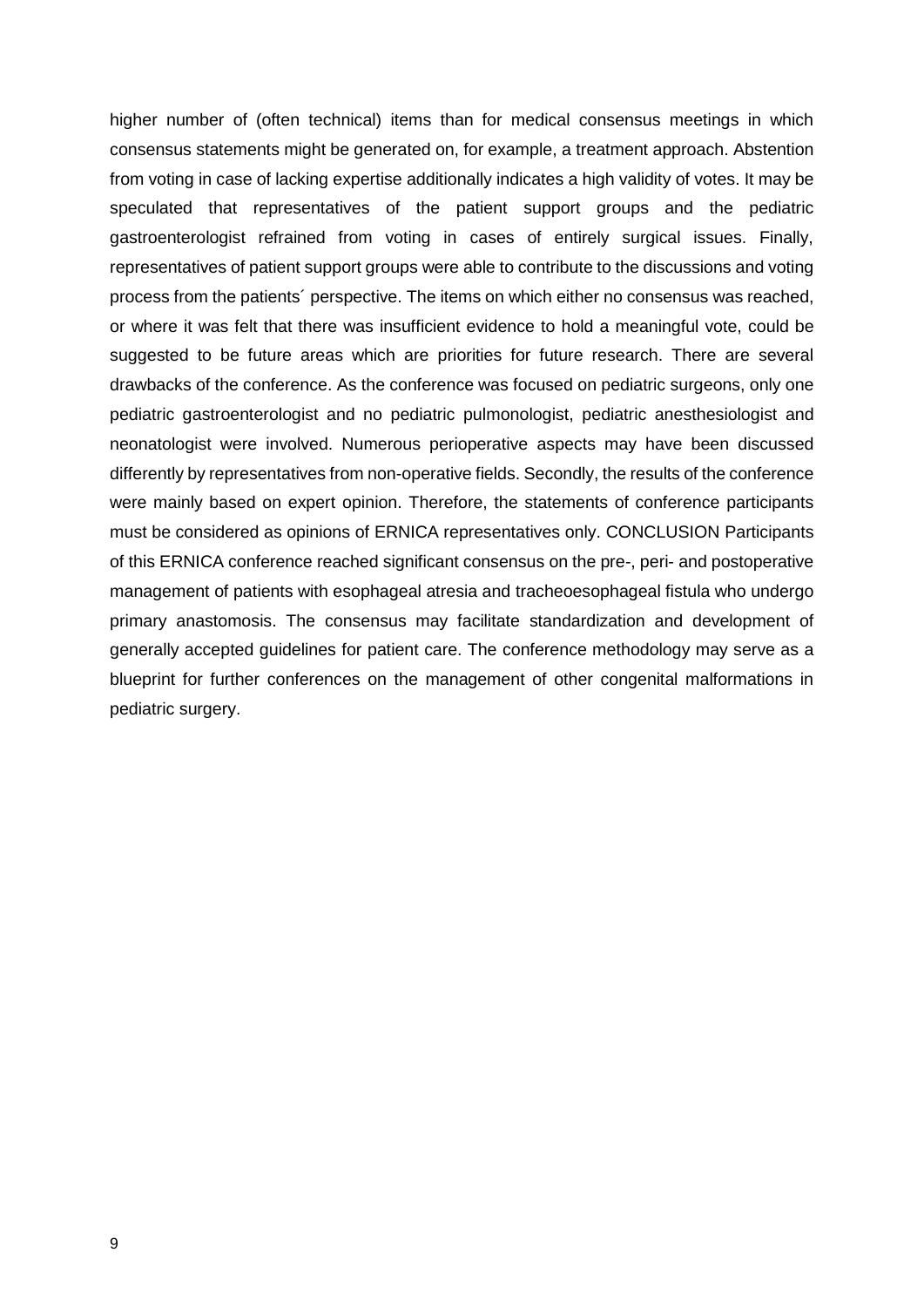higher number of (often technical) items than for medical consensus meetings in which consensus statements might be generated on, for example, a treatment approach. Abstention from voting in case of lacking expertise additionally indicates a high validity of votes. It may be speculated that representatives of the patient support groups and the pediatric gastroenterologist refrained from voting in cases of entirely surgical issues. Finally, representatives of patient support groups were able to contribute to the discussions and voting process from the patients´ perspective. The items on which either no consensus was reached, or where it was felt that there was insufficient evidence to hold a meaningful vote, could be suggested to be future areas which are priorities for future research. There are several drawbacks of the conference. As the conference was focused on pediatric surgeons, only one pediatric gastroenterologist and no pediatric pulmonologist, pediatric anesthesiologist and neonatologist were involved. Numerous perioperative aspects may have been discussed differently by representatives from non-operative fields. Secondly, the results of the conference were mainly based on expert opinion. Therefore, the statements of conference participants must be considered as opinions of ERNICA representatives only. CONCLUSION Participants of this ERNICA conference reached significant consensus on the pre-, peri- and postoperative management of patients with esophageal atresia and tracheoesophageal fistula who undergo primary anastomosis. The consensus may facilitate standardization and development of generally accepted guidelines for patient care. The conference methodology may serve as a blueprint for further conferences on the management of other congenital malformations in pediatric surgery.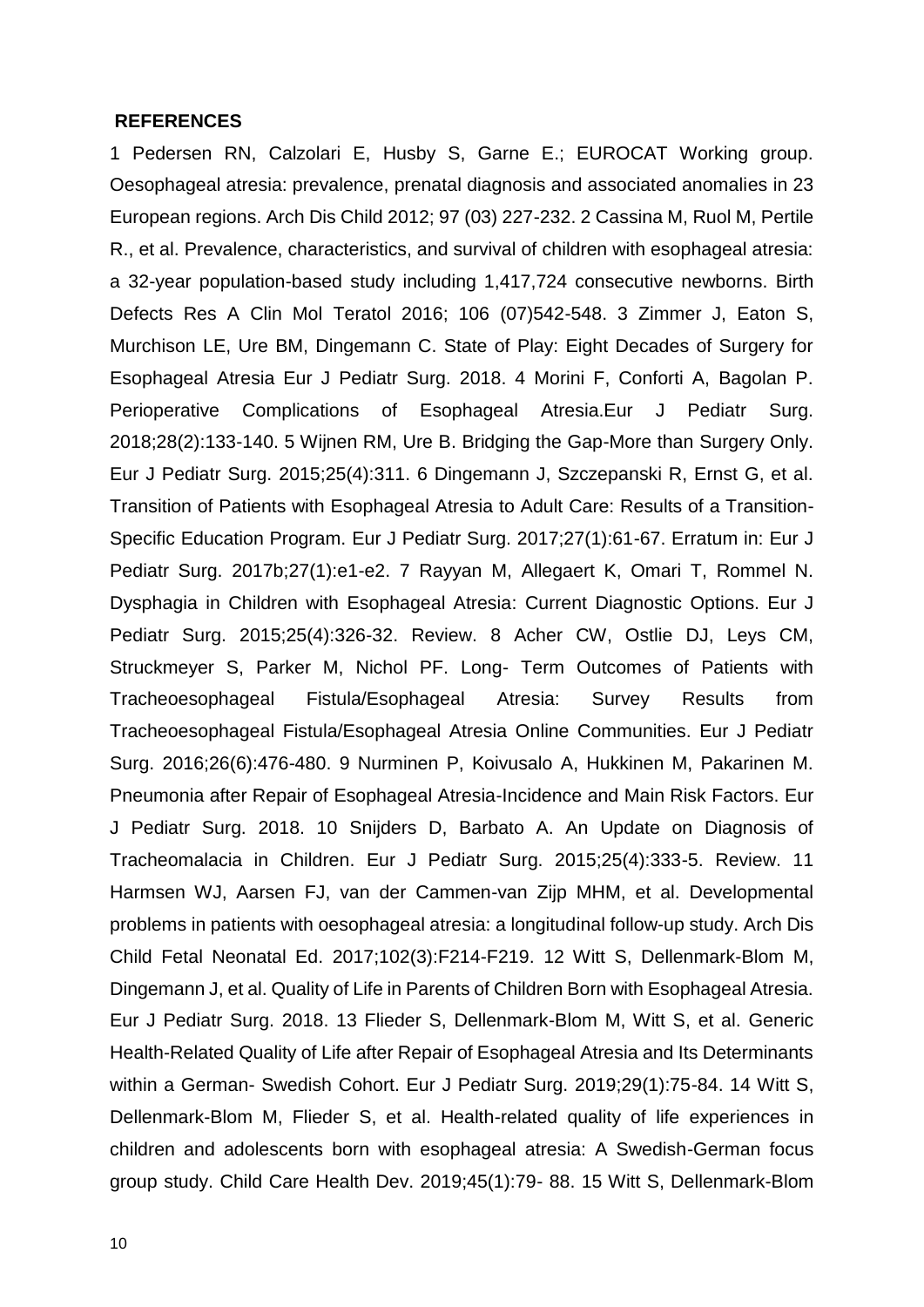#### **REFERENCES**

1 Pedersen RN, Calzolari E, Husby S, Garne E.; EUROCAT Working group. Oesophageal atresia: prevalence, prenatal diagnosis and associated anomalies in 23 European regions. Arch Dis Child 2012; 97 (03) 227-232. 2 Cassina M, Ruol M, Pertile R., et al. Prevalence, characteristics, and survival of children with esophageal atresia: a 32-year population-based study including 1,417,724 consecutive newborns. Birth Defects Res A Clin Mol Teratol 2016; 106 (07)542-548. 3 Zimmer J, Eaton S, Murchison LE, Ure BM, Dingemann C. State of Play: Eight Decades of Surgery for Esophageal Atresia Eur J Pediatr Surg. 2018. 4 Morini F, Conforti A, Bagolan P. Perioperative Complications of Esophageal Atresia.Eur J Pediatr Surg. 2018;28(2):133-140. 5 Wijnen RM, Ure B. Bridging the Gap-More than Surgery Only. Eur J Pediatr Surg. 2015;25(4):311. 6 Dingemann J, Szczepanski R, Ernst G, et al. Transition of Patients with Esophageal Atresia to Adult Care: Results of a Transition-Specific Education Program. Eur J Pediatr Surg. 2017;27(1):61-67. Erratum in: Eur J Pediatr Surg. 2017b;27(1):e1-e2. 7 Rayyan M, Allegaert K, Omari T, Rommel N. Dysphagia in Children with Esophageal Atresia: Current Diagnostic Options. Eur J Pediatr Surg. 2015;25(4):326-32. Review. 8 Acher CW, Ostlie DJ, Leys CM, Struckmeyer S, Parker M, Nichol PF. Long- Term Outcomes of Patients with Tracheoesophageal Fistula/Esophageal Atresia: Survey Results from Tracheoesophageal Fistula/Esophageal Atresia Online Communities. Eur J Pediatr Surg. 2016;26(6):476-480. 9 Nurminen P, Koivusalo A, Hukkinen M, Pakarinen M. Pneumonia after Repair of Esophageal Atresia-Incidence and Main Risk Factors. Eur J Pediatr Surg. 2018. 10 Snijders D, Barbato A. An Update on Diagnosis of Tracheomalacia in Children. Eur J Pediatr Surg. 2015;25(4):333-5. Review. 11 Harmsen WJ, Aarsen FJ, van der Cammen-van Zijp MHM, et al. Developmental problems in patients with oesophageal atresia: a longitudinal follow-up study. Arch Dis Child Fetal Neonatal Ed. 2017;102(3):F214-F219. 12 Witt S, Dellenmark-Blom M, Dingemann J, et al. Quality of Life in Parents of Children Born with Esophageal Atresia. Eur J Pediatr Surg. 2018. 13 Flieder S, Dellenmark-Blom M, Witt S, et al. Generic Health-Related Quality of Life after Repair of Esophageal Atresia and Its Determinants within a German- Swedish Cohort. Eur J Pediatr Surg. 2019;29(1):75-84. 14 Witt S, Dellenmark-Blom M, Flieder S, et al. Health-related quality of life experiences in children and adolescents born with esophageal atresia: A Swedish-German focus group study. Child Care Health Dev. 2019;45(1):79- 88. 15 Witt S, Dellenmark-Blom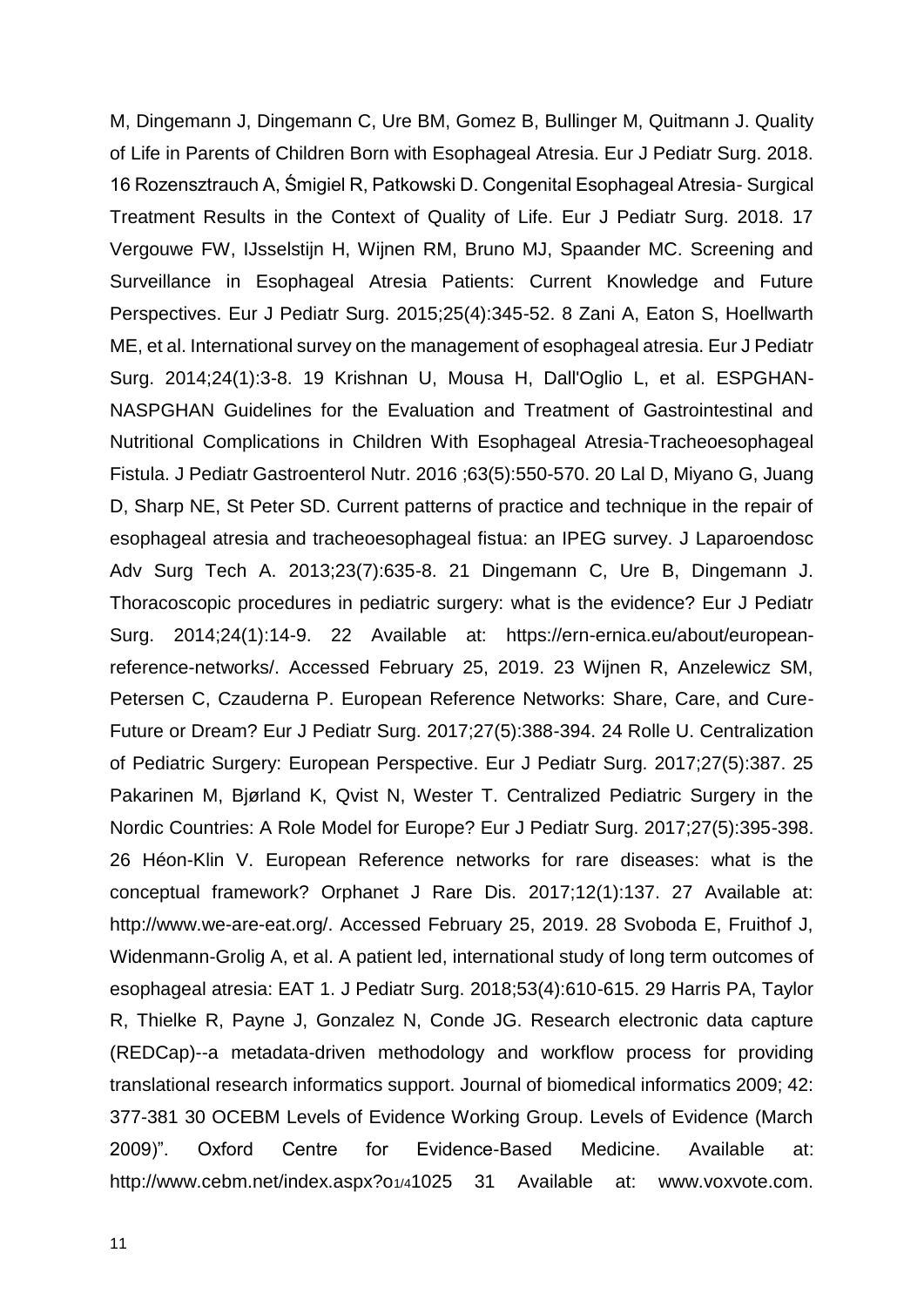M, Dingemann J, Dingemann C, Ure BM, Gomez B, Bullinger M, Quitmann J. Quality of Life in Parents of Children Born with Esophageal Atresia. Eur J Pediatr Surg. 2018. 16 Rozensztrauch A, Śmigiel R, Patkowski D. Congenital Esophageal Atresia- Surgical Treatment Results in the Context of Quality of Life. Eur J Pediatr Surg. 2018. 17 Vergouwe FW, IJsselstijn H, Wijnen RM, Bruno MJ, Spaander MC. Screening and Surveillance in Esophageal Atresia Patients: Current Knowledge and Future Perspectives. Eur J Pediatr Surg. 2015;25(4):345-52. 8 Zani A, Eaton S, Hoellwarth ME, et al. International survey on the management of esophageal atresia. Eur J Pediatr Surg. 2014;24(1):3-8. 19 Krishnan U, Mousa H, Dall'Oglio L, et al. ESPGHAN-NASPGHAN Guidelines for the Evaluation and Treatment of Gastrointestinal and Nutritional Complications in Children With Esophageal Atresia-Tracheoesophageal Fistula. J Pediatr Gastroenterol Nutr. 2016 ;63(5):550-570. 20 Lal D, Miyano G, Juang D, Sharp NE, St Peter SD. Current patterns of practice and technique in the repair of esophageal atresia and tracheoesophageal fistua: an IPEG survey. J Laparoendosc Adv Surg Tech A. 2013;23(7):635-8. 21 Dingemann C, Ure B, Dingemann J. Thoracoscopic procedures in pediatric surgery: what is the evidence? Eur J Pediatr Surg. 2014;24(1):14-9. 22 Available at: https://ern-ernica.eu/about/europeanreference-networks/. Accessed February 25, 2019. 23 Wijnen R, Anzelewicz SM, Petersen C, Czauderna P. European Reference Networks: Share, Care, and Cure-Future or Dream? Eur J Pediatr Surg. 2017;27(5):388-394. 24 Rolle U. Centralization of Pediatric Surgery: European Perspective. Eur J Pediatr Surg. 2017;27(5):387. 25 Pakarinen M, Bjørland K, Qvist N, Wester T. Centralized Pediatric Surgery in the Nordic Countries: A Role Model for Europe? Eur J Pediatr Surg. 2017;27(5):395-398. 26 Héon-Klin V. European Reference networks for rare diseases: what is the conceptual framework? Orphanet J Rare Dis. 2017;12(1):137. 27 Available at: http://www.we-are-eat.org/. Accessed February 25, 2019. 28 Svoboda E, Fruithof J, Widenmann-Grolig A, et al. A patient led, international study of long term outcomes of esophageal atresia: EAT 1. J Pediatr Surg. 2018;53(4):610-615. 29 Harris PA, Taylor R, Thielke R, Payne J, Gonzalez N, Conde JG. Research electronic data capture (REDCap)--a metadata-driven methodology and workflow process for providing translational research informatics support. Journal of biomedical informatics 2009; 42: 377-381 30 OCEBM Levels of Evidence Working Group. Levels of Evidence (March 2009)". Oxford Centre for Evidence-Based Medicine. Available at: http://www.cebm.net/index.aspx?o1/41025 31 Available at: www.voxvote.com.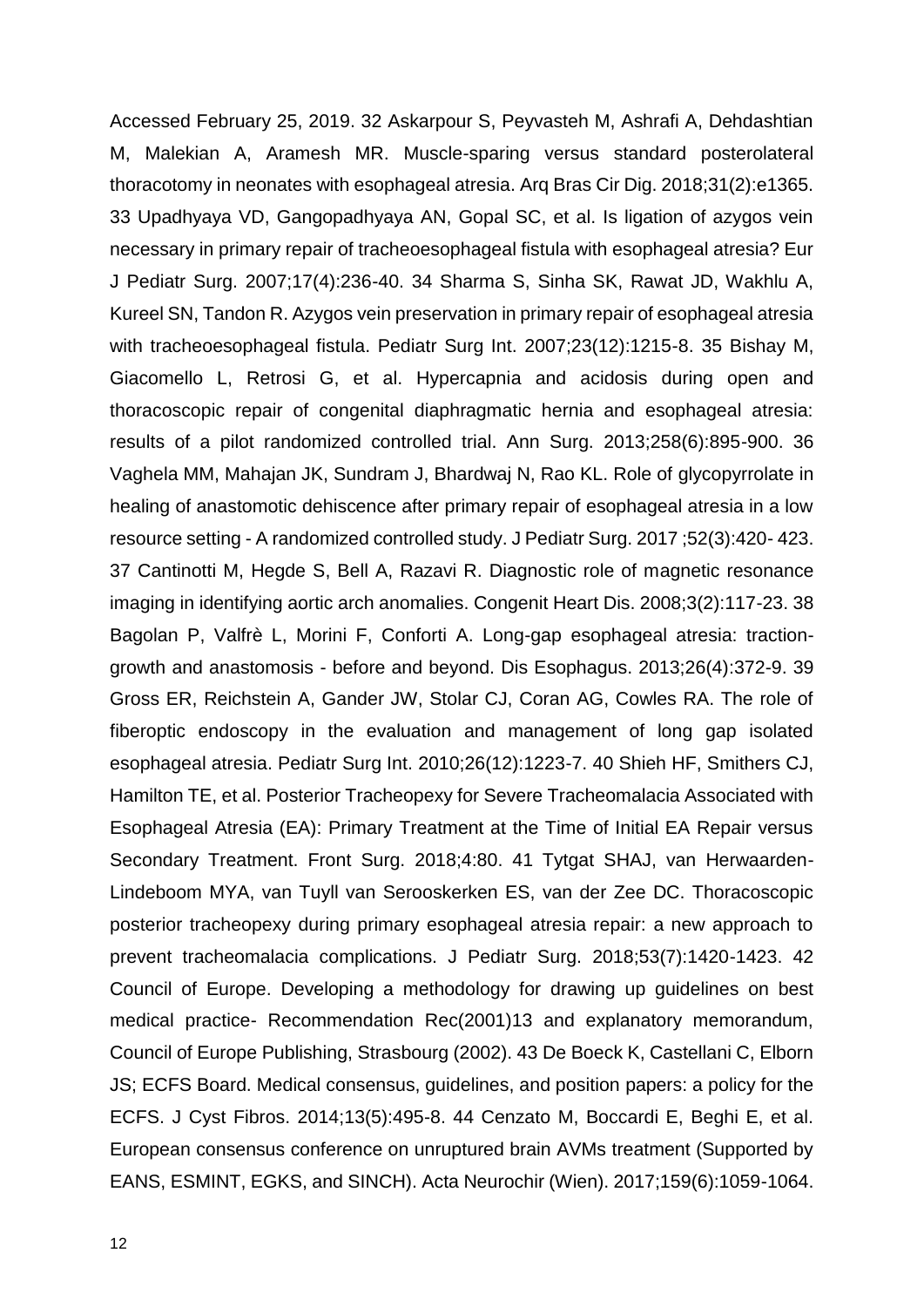Accessed February 25, 2019. 32 Askarpour S, Peyvasteh M, Ashrafi A, Dehdashtian M, Malekian A, Aramesh MR. Muscle-sparing versus standard posterolateral thoracotomy in neonates with esophageal atresia. Arq Bras Cir Dig. 2018;31(2):e1365. 33 Upadhyaya VD, Gangopadhyaya AN, Gopal SC, et al. Is ligation of azygos vein necessary in primary repair of tracheoesophageal fistula with esophageal atresia? Eur J Pediatr Surg. 2007;17(4):236-40. 34 Sharma S, Sinha SK, Rawat JD, Wakhlu A, Kureel SN, Tandon R. Azygos vein preservation in primary repair of esophageal atresia with tracheoesophageal fistula. Pediatr Surg Int. 2007;23(12):1215-8. 35 Bishay M, Giacomello L, Retrosi G, et al. Hypercapnia and acidosis during open and thoracoscopic repair of congenital diaphragmatic hernia and esophageal atresia: results of a pilot randomized controlled trial. Ann Surg. 2013;258(6):895-900. 36 Vaghela MM, Mahajan JK, Sundram J, Bhardwaj N, Rao KL. Role of glycopyrrolate in healing of anastomotic dehiscence after primary repair of esophageal atresia in a low resource setting - A randomized controlled study. J Pediatr Surg. 2017 ;52(3):420- 423. 37 Cantinotti M, Hegde S, Bell A, Razavi R. Diagnostic role of magnetic resonance imaging in identifying aortic arch anomalies. Congenit Heart Dis. 2008;3(2):117-23. 38 Bagolan P, Valfrè L, Morini F, Conforti A. Long-gap esophageal atresia: tractiongrowth and anastomosis - before and beyond. Dis Esophagus. 2013;26(4):372-9. 39 Gross ER, Reichstein A, Gander JW, Stolar CJ, Coran AG, Cowles RA. The role of fiberoptic endoscopy in the evaluation and management of long gap isolated esophageal atresia. Pediatr Surg Int. 2010;26(12):1223-7. 40 Shieh HF, Smithers CJ, Hamilton TE, et al. Posterior Tracheopexy for Severe Tracheomalacia Associated with Esophageal Atresia (EA): Primary Treatment at the Time of Initial EA Repair versus Secondary Treatment. Front Surg. 2018;4:80. 41 Tytgat SHAJ, van Herwaarden-Lindeboom MYA, van Tuyll van Serooskerken ES, van der Zee DC. Thoracoscopic posterior tracheopexy during primary esophageal atresia repair: a new approach to prevent tracheomalacia complications. J Pediatr Surg. 2018;53(7):1420-1423. 42 Council of Europe. Developing a methodology for drawing up guidelines on best medical practice- Recommendation Rec(2001)13 and explanatory memorandum, Council of Europe Publishing, Strasbourg (2002). 43 De Boeck K, Castellani C, Elborn JS; ECFS Board. Medical consensus, guidelines, and position papers: a policy for the ECFS. J Cyst Fibros. 2014;13(5):495-8. 44 Cenzato M, Boccardi E, Beghi E, et al. European consensus conference on unruptured brain AVMs treatment (Supported by EANS, ESMINT, EGKS, and SINCH). Acta Neurochir (Wien). 2017;159(6):1059-1064.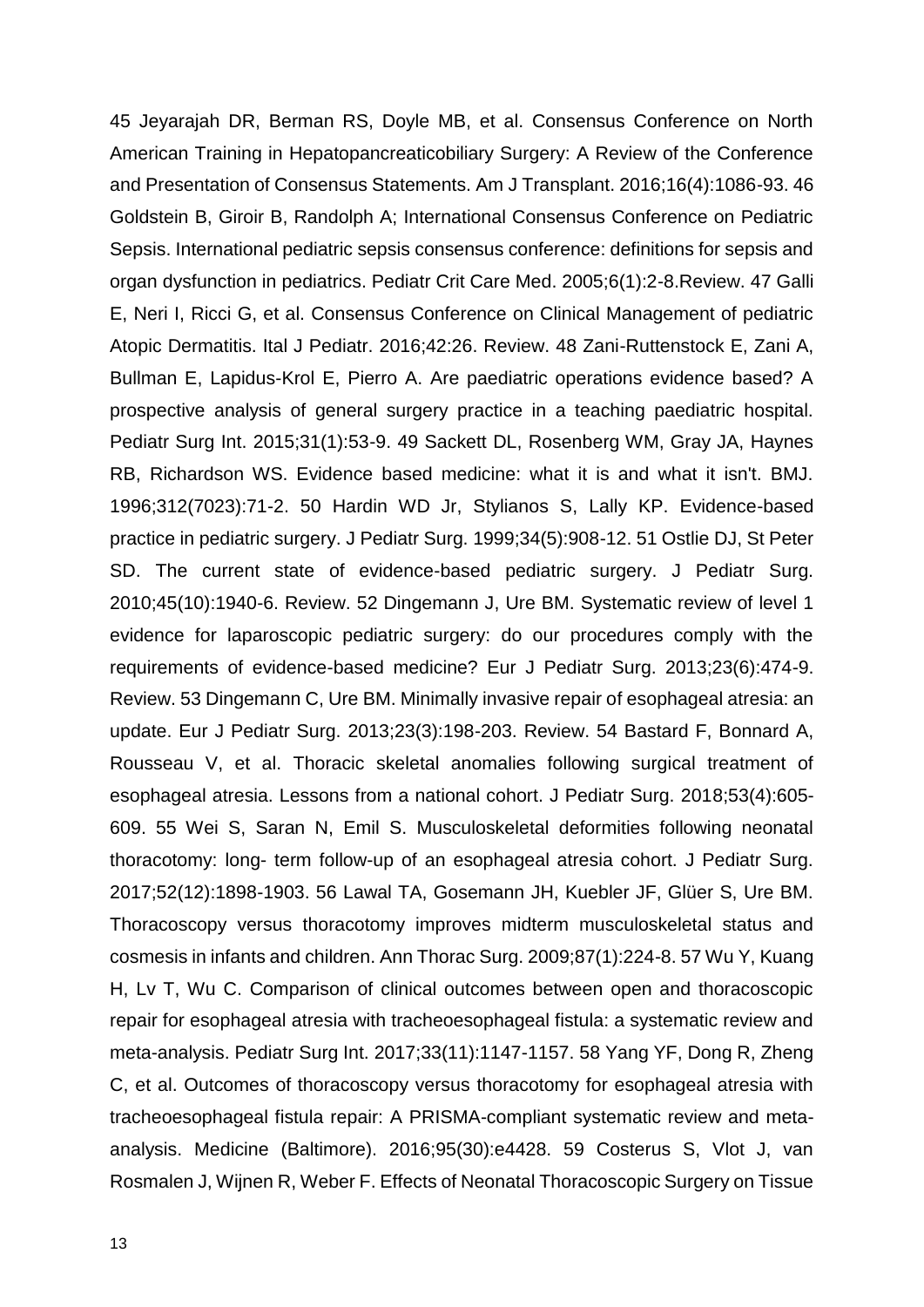45 Jeyarajah DR, Berman RS, Doyle MB, et al. Consensus Conference on North American Training in Hepatopancreaticobiliary Surgery: A Review of the Conference and Presentation of Consensus Statements. Am J Transplant. 2016;16(4):1086-93. 46 Goldstein B, Giroir B, Randolph A; International Consensus Conference on Pediatric Sepsis. International pediatric sepsis consensus conference: definitions for sepsis and organ dysfunction in pediatrics. Pediatr Crit Care Med. 2005;6(1):2-8.Review. 47 Galli E, Neri I, Ricci G, et al. Consensus Conference on Clinical Management of pediatric Atopic Dermatitis. Ital J Pediatr. 2016;42:26. Review. 48 Zani-Ruttenstock E, Zani A, Bullman E, Lapidus-Krol E, Pierro A. Are paediatric operations evidence based? A prospective analysis of general surgery practice in a teaching paediatric hospital. Pediatr Surg Int. 2015;31(1):53-9. 49 Sackett DL, Rosenberg WM, Gray JA, Haynes RB, Richardson WS. Evidence based medicine: what it is and what it isn't. BMJ. 1996;312(7023):71-2. 50 Hardin WD Jr, Stylianos S, Lally KP. Evidence-based practice in pediatric surgery. J Pediatr Surg. 1999;34(5):908-12. 51 Ostlie DJ, St Peter SD. The current state of evidence-based pediatric surgery. J Pediatr Surg. 2010;45(10):1940-6. Review. 52 Dingemann J, Ure BM. Systematic review of level 1 evidence for laparoscopic pediatric surgery: do our procedures comply with the requirements of evidence-based medicine? Eur J Pediatr Surg. 2013;23(6):474-9. Review. 53 Dingemann C, Ure BM. Minimally invasive repair of esophageal atresia: an update. Eur J Pediatr Surg. 2013;23(3):198-203. Review. 54 Bastard F, Bonnard A, Rousseau V, et al. Thoracic skeletal anomalies following surgical treatment of esophageal atresia. Lessons from a national cohort. J Pediatr Surg. 2018;53(4):605- 609. 55 Wei S, Saran N, Emil S. Musculoskeletal deformities following neonatal thoracotomy: long- term follow-up of an esophageal atresia cohort. J Pediatr Surg. 2017;52(12):1898-1903. 56 Lawal TA, Gosemann JH, Kuebler JF, Glüer S, Ure BM. Thoracoscopy versus thoracotomy improves midterm musculoskeletal status and cosmesis in infants and children. Ann Thorac Surg. 2009;87(1):224-8. 57 Wu Y, Kuang H, Lv T, Wu C. Comparison of clinical outcomes between open and thoracoscopic repair for esophageal atresia with tracheoesophageal fistula: a systematic review and meta-analysis. Pediatr Surg Int. 2017;33(11):1147-1157. 58 Yang YF, Dong R, Zheng C, et al. Outcomes of thoracoscopy versus thoracotomy for esophageal atresia with tracheoesophageal fistula repair: A PRISMA-compliant systematic review and metaanalysis. Medicine (Baltimore). 2016;95(30):e4428. 59 Costerus S, Vlot J, van Rosmalen J, Wijnen R, Weber F. Effects of Neonatal Thoracoscopic Surgery on Tissue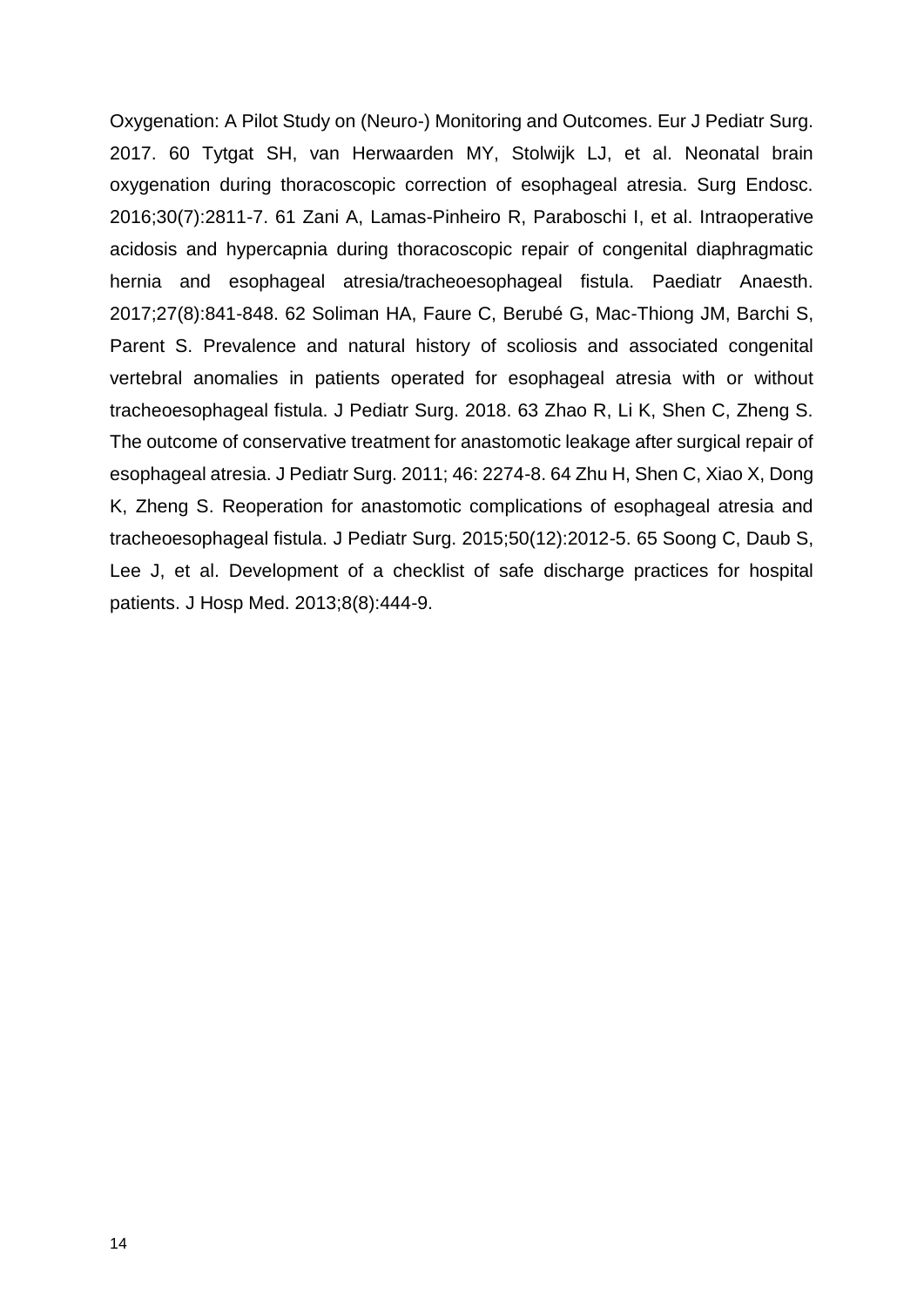Oxygenation: A Pilot Study on (Neuro-) Monitoring and Outcomes. Eur J Pediatr Surg. 2017. 60 Tytgat SH, van Herwaarden MY, Stolwijk LJ, et al. Neonatal brain oxygenation during thoracoscopic correction of esophageal atresia. Surg Endosc. 2016;30(7):2811-7. 61 Zani A, Lamas-Pinheiro R, Paraboschi I, et al. Intraoperative acidosis and hypercapnia during thoracoscopic repair of congenital diaphragmatic hernia and esophageal atresia/tracheoesophageal fistula. Paediatr Anaesth. 2017;27(8):841-848. 62 Soliman HA, Faure C, Berubé G, Mac-Thiong JM, Barchi S, Parent S. Prevalence and natural history of scoliosis and associated congenital vertebral anomalies in patients operated for esophageal atresia with or without tracheoesophageal fistula. J Pediatr Surg. 2018. 63 Zhao R, Li K, Shen C, Zheng S. The outcome of conservative treatment for anastomotic leakage after surgical repair of esophageal atresia. J Pediatr Surg. 2011; 46: 2274-8. 64 Zhu H, Shen C, Xiao X, Dong K, Zheng S. Reoperation for anastomotic complications of esophageal atresia and tracheoesophageal fistula. J Pediatr Surg. 2015;50(12):2012-5. 65 Soong C, Daub S, Lee J, et al. Development of a checklist of safe discharge practices for hospital patients. J Hosp Med. 2013;8(8):444-9.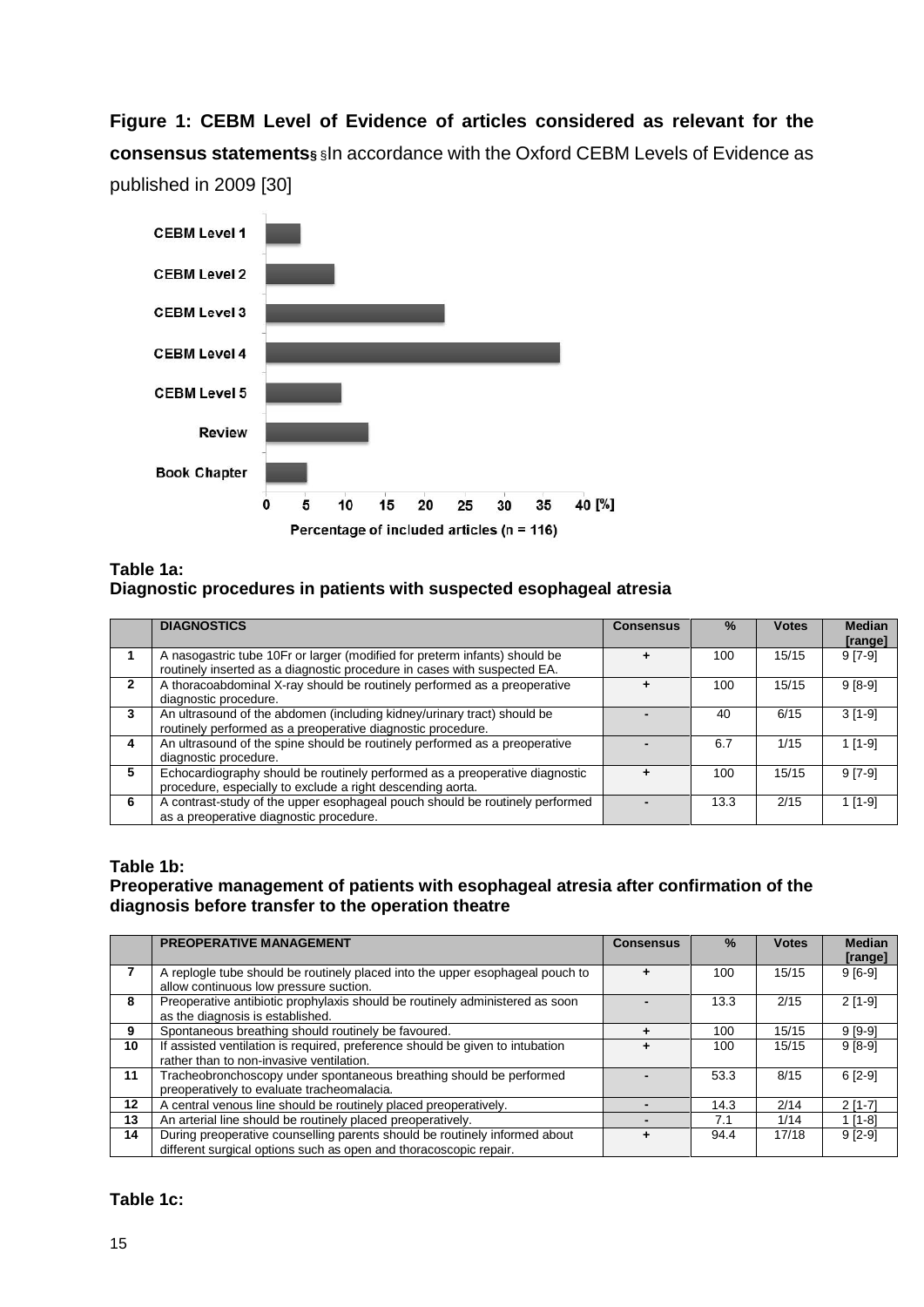**Figure 1: CEBM Level of Evidence of articles considered as relevant for the consensus statements§** §In accordance with the Oxford CEBM Levels of Evidence as published in 2009 [30]



### **Table 1a: Diagnostic procedures in patients with suspected esophageal atresia**

|   | <b>DIAGNOSTICS</b>                                                                                                                                     | <b>Consensus</b> | $\frac{0}{2}$ | <b>Votes</b> | <b>Median</b><br>[range] |
|---|--------------------------------------------------------------------------------------------------------------------------------------------------------|------------------|---------------|--------------|--------------------------|
|   | A nasogastric tube 10Fr or larger (modified for preterm infants) should be<br>routinely inserted as a diagnostic procedure in cases with suspected EA. |                  | 100           | 15/15        | $9 [7-9]$                |
| 2 | A thoracoabdominal X-ray should be routinely performed as a preoperative<br>diagnostic procedure.                                                      |                  | 100           | 15/15        | $9[8-9]$                 |
| 3 | An ultrasound of the abdomen (including kidney/urinary tract) should be<br>routinely performed as a preoperative diagnostic procedure.                 |                  | 40            | 6/15         | $3[1-9]$                 |
| 4 | An ultrasound of the spine should be routinely performed as a preoperative<br>diagnostic procedure.                                                    |                  | 6.7           | 1/15         | $1$ [1-9]                |
| 5 | Echocardiography should be routinely performed as a preoperative diagnostic<br>procedure, especially to exclude a right descending aorta.              |                  | 100           | 15/15        | $9 [7-9]$                |
| 6 | A contrast-study of the upper esophageal pouch should be routinely performed<br>as a preoperative diagnostic procedure.                                |                  | 13.3          | 2/15         | $1$ [1-9]                |

#### **Table 1b:**

#### **Preoperative management of patients with esophageal atresia after confirmation of the diagnosis before transfer to the operation theatre**

|    | <b>PREOPERATIVE MANAGEMENT</b>                                                                                                                  | <b>Consensus</b> | $\frac{9}{6}$ | <b>Votes</b> | <b>Median</b><br>[range] |
|----|-------------------------------------------------------------------------------------------------------------------------------------------------|------------------|---------------|--------------|--------------------------|
|    | A replogle tube should be routinely placed into the upper esophageal pouch to<br>allow continuous low pressure suction.                         |                  | 100           | 15/15        | $9[6-9]$                 |
| 8  | Preoperative antibiotic prophylaxis should be routinely administered as soon<br>as the diagnosis is established.                                |                  | 13.3          | 2/15         | $2$ [1-9]                |
| 9  | Spontaneous breathing should routinely be favoured.                                                                                             |                  | 100           | 15/15        | $9[9-9]$                 |
| 10 | If assisted ventilation is required, preference should be given to intubation<br>rather than to non-invasive ventilation.                       |                  | 100           | 15/15        | $9[8-9]$                 |
| 11 | Tracheobronchoscopy under spontaneous breathing should be performed<br>preoperatively to evaluate tracheomalacia.                               |                  | 53.3          | 8/15         | $6[2-9]$                 |
| 12 | A central venous line should be routinely placed preoperatively.                                                                                |                  | 14.3          | 2/14         | $2[1-7]$                 |
| 13 | An arterial line should be routinely placed preoperatively.                                                                                     |                  | 7.1           | 1/14         | $1$ [1-8]                |
| 14 | During preoperative counselling parents should be routinely informed about<br>different surgical options such as open and thoracoscopic repair. |                  | 94.4          | 17/18        | $9 [2-9]$                |

#### **Table 1c:**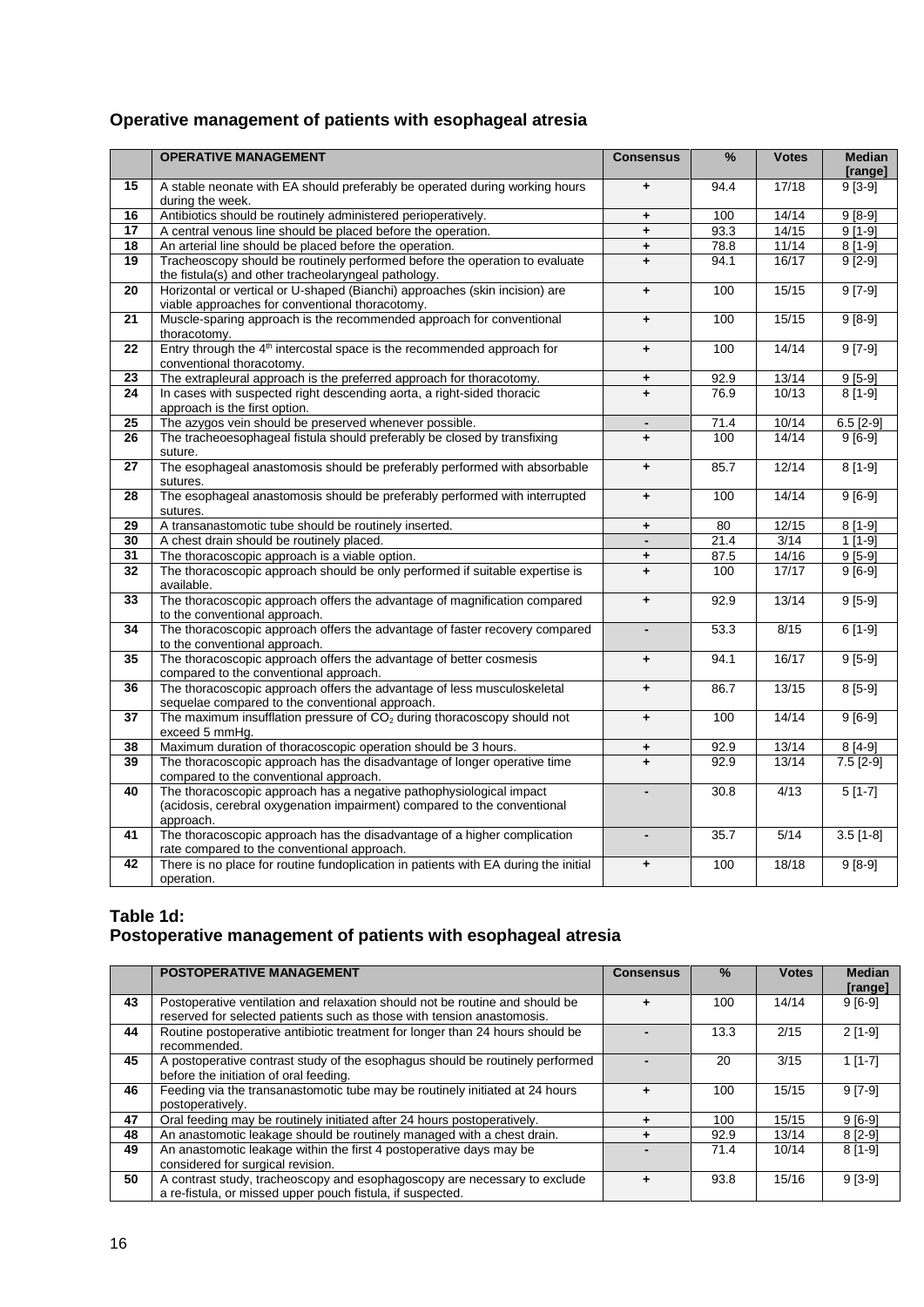# **Operative management of patients with esophageal atresia**

|                 | <b>OPERATIVE MANAGEMENT</b>                                                                                       | <b>Consensus</b>     | %    | <b>Votes</b> | <b>Median</b>       |
|-----------------|-------------------------------------------------------------------------------------------------------------------|----------------------|------|--------------|---------------------|
| 15              | A stable neonate with EA should preferably be operated during working hours                                       | ٠                    | 94.4 | 17/18        | [range]<br>$9[3-9]$ |
| 16              | during the week.<br>Antibiotics should be routinely administered perioperatively.                                 | $\ddot{\phantom{1}}$ | 100  | 14/14        | $9[8-9]$            |
| 17              | A central venous line should be placed before the operation.                                                      | $\ddot{}$            | 93.3 | 14/15        | $9[1-9]$            |
| $\overline{18}$ | An arterial line should be placed before the operation.                                                           |                      | 78.8 | 11/14        | $8[1-9]$            |
| 19              | Tracheoscopy should be routinely performed before the operation to evaluate                                       | $\ddot{}$            | 94.1 | 16/17        | $9[2-9]$            |
|                 | the fistula(s) and other tracheolaryngeal pathology.                                                              | $\ddot{}$            |      |              |                     |
| 20              | Horizontal or vertical or U-shaped (Bianchi) approaches (skin incision) are                                       | $\ddot{\phantom{1}}$ | 100  | 15/15        | $9[7-9]$            |
|                 | viable approaches for conventional thoracotomy.                                                                   |                      |      |              |                     |
| 21              | Muscle-sparing approach is the recommended approach for conventional                                              | $\ddot{\phantom{1}}$ | 100  | 15/15        | $9[8-9]$            |
|                 | thoracotomy.                                                                                                      |                      |      |              |                     |
| 22              | Entry through the 4 <sup>th</sup> intercostal space is the recommended approach for                               | $\ddot{\phantom{1}}$ | 100  | 14/14        | $9[7-9]$            |
|                 | conventional thoracotomy.                                                                                         |                      |      |              |                     |
| 23              | The extrapleural approach is the preferred approach for thoracotomy.                                              | ٠                    | 92.9 | 13/14        | $9[5-9]$            |
| 24              | In cases with suspected right descending aorta, a right-sided thoracic                                            | $\ddot{}$            | 76.9 | 10/13        | $8[1-9]$            |
|                 | approach is the first option.                                                                                     |                      |      |              |                     |
| 25              | The azygos vein should be preserved whenever possible.                                                            | ÷.                   | 71.4 | 10/14        | $6.5$ [2-9]         |
| 26              | The tracheoesophageal fistula should preferably be closed by transfixing                                          | $\ddot{}$            | 100  | 14/14        | $9[6-9]$            |
|                 | suture.                                                                                                           |                      |      |              |                     |
| 27              | The esophageal anastomosis should be preferably performed with absorbable                                         | $\ddot{+}$           | 85.7 | 12/14        | $8[1-9]$            |
|                 | sutures.                                                                                                          |                      |      |              |                     |
| 28              | The esophageal anastomosis should be preferably performed with interrupted                                        | $\ddot{}$            | 100  | 14/14        | $9[6-9]$            |
|                 | sutures.                                                                                                          |                      |      |              |                     |
| 29              | A transanastomotic tube should be routinely inserted.                                                             | $\ddot{}$            | 80   | 12/15        | $8[1-9]$            |
| 30              | A chest drain should be routinely placed.                                                                         |                      | 21.4 | 3/14         | $1$ [1-9]           |
| 31              | The thoracoscopic approach is a viable option.                                                                    | ÷                    | 87.5 | 14/16        | $9[5-9]$            |
| 32              | The thoracoscopic approach should be only performed if suitable expertise is                                      | $\ddot{}$            | 100  | 17/17        | $9[6-9]$            |
|                 | available.                                                                                                        |                      |      |              |                     |
| 33              | The thoracoscopic approach offers the advantage of magnification compared                                         | $\ddot{\phantom{1}}$ | 92.9 | 13/14        | $9[5-9]$            |
|                 | to the conventional approach.                                                                                     |                      |      |              |                     |
| 34              | The thoracoscopic approach offers the advantage of faster recovery compared                                       | $\overline{a}$       | 53.3 | 8/15         | $6[1-9]$            |
|                 | to the conventional approach.                                                                                     |                      |      |              |                     |
| 35              | The thoracoscopic approach offers the advantage of better cosmesis                                                | $\ddot{}$            | 94.1 | 16/17        | $9[5-9]$            |
| 36              | compared to the conventional approach.<br>The thoracoscopic approach offers the advantage of less musculoskeletal |                      | 86.7 | 13/15        | $8[5-9]$            |
|                 | sequelae compared to the conventional approach.                                                                   | $\ddot{}$            |      |              |                     |
| 37              | The maximum insufflation pressure of $CO2$ during thoracoscopy should not                                         | $\ddot{}$            | 100  | 14/14        | $9[6-9]$            |
|                 | exceed 5 mmHg.                                                                                                    |                      |      |              |                     |
| 38              | Maximum duration of thoracoscopic operation should be 3 hours.                                                    | ÷                    | 92.9 | 13/14        | $8[4-9]$            |
| 39              | The thoracoscopic approach has the disadvantage of longer operative time                                          | $\ddot{+}$           | 92.9 | 13/14        | $7.5 [2-9]$         |
|                 | compared to the conventional approach.                                                                            |                      |      |              |                     |
| 40              | The thoracoscopic approach has a negative pathophysiological impact                                               |                      | 30.8 | 4/13         | $5[1-7]$            |
|                 | (acidosis, cerebral oxygenation impairment) compared to the conventional                                          |                      |      |              |                     |
|                 | approach.                                                                                                         |                      |      |              |                     |
| 41              | The thoracoscopic approach has the disadvantage of a higher complication                                          |                      | 35.7 | 5/14         | $3.5$ [1-8]         |
|                 | rate compared to the conventional approach.                                                                       |                      |      |              |                     |
| 42              | There is no place for routine fundoplication in patients with EA during the initial                               | $\ddot{\phantom{1}}$ | 100  | 18/18        | $9[8-9]$            |
|                 | operation.                                                                                                        |                      |      |              |                     |

## **Table 1d: Postoperative management of patients with esophageal atresia**

|    | <b>POSTOPERATIVE MANAGEMENT</b>                                                                                                                        | <b>Consensus</b> | %    | <b>Votes</b> | <b>Median</b><br>[range] |
|----|--------------------------------------------------------------------------------------------------------------------------------------------------------|------------------|------|--------------|--------------------------|
| 43 | Postoperative ventilation and relaxation should not be routine and should be<br>reserved for selected patients such as those with tension anastomosis. |                  | 100  | 14/14        | $9[6-9]$                 |
| 44 | Routine postoperative antibiotic treatment for longer than 24 hours should be<br>recommended.                                                          |                  | 13.3 | 2/15         | $2$ [1-9]                |
| 45 | A postoperative contrast study of the esophagus should be routinely performed<br>before the initiation of oral feeding.                                |                  | 20   | 3/15         | $1$ [1-7]                |
| 46 | Feeding via the transanastomotic tube may be routinely initiated at 24 hours<br>postoperatively.                                                       |                  | 100  | 15/15        | $9 [7-9]$                |
| 47 | Oral feeding may be routinely initiated after 24 hours postoperatively.                                                                                |                  | 100  | 15/15        | $9[6-9]$                 |
| 48 | An anastomotic leakage should be routinely managed with a chest drain.                                                                                 |                  | 92.9 | 13/14        | $8 [2-9]$                |
| 49 | An anastomotic leakage within the first 4 postoperative days may be<br>considered for surgical revision.                                               |                  | 71.4 | 10/14        | $8$ [1-9]                |
| 50 | A contrast study, tracheoscopy and esophagoscopy are necessary to exclude<br>a re-fistula, or missed upper pouch fistula, if suspected.                |                  | 93.8 | 15/16        | $9[3-9]$                 |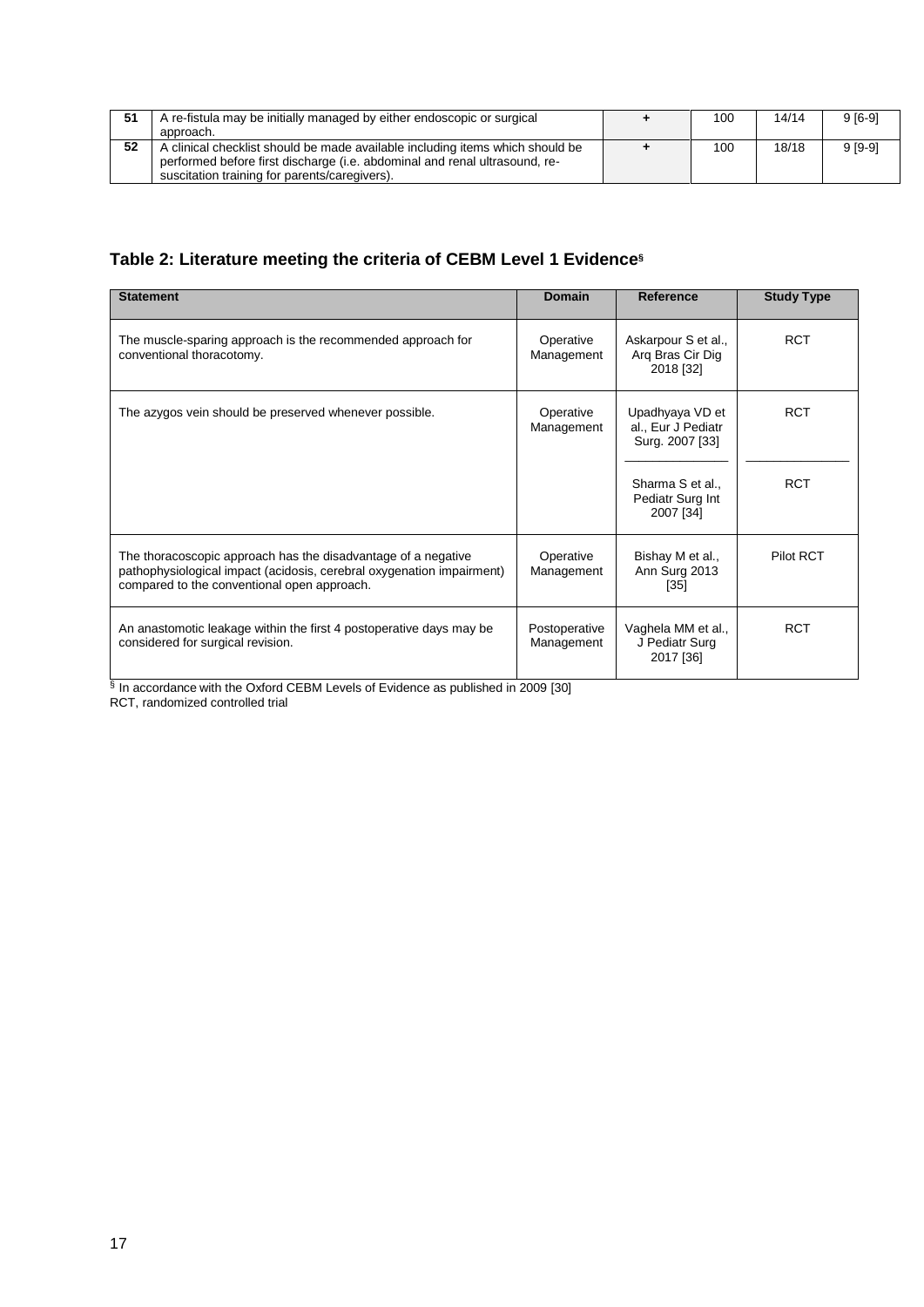| 51 | A re-fistula may be initially managed by either endoscopic or surgical<br>approach.                                                                                                                          | 100 | 14/14 | $9[6-9]$ |
|----|--------------------------------------------------------------------------------------------------------------------------------------------------------------------------------------------------------------|-----|-------|----------|
| 52 | A clinical checklist should be made available including items which should be<br>performed before first discharge (i.e. abdominal and renal ultrasound, re-<br>suscitation training for parents/caregivers). | 100 | 18/18 | $9[9-9]$ |

# **Table 2: Literature meeting the criteria of CEBM Level 1 Evidence§**

| <b>Statement</b>                                                                                                                                                                      | Domain                      | <b>Reference</b>                                         | <b>Study Type</b> |
|---------------------------------------------------------------------------------------------------------------------------------------------------------------------------------------|-----------------------------|----------------------------------------------------------|-------------------|
| The muscle-sparing approach is the recommended approach for<br>conventional thoracotomy.                                                                                              | Operative<br>Management     | Askarpour S et al.,<br>Arg Bras Cir Dig<br>2018 [32]     | <b>RCT</b>        |
| The azygos vein should be preserved whenever possible.                                                                                                                                | Operative<br>Management     | Upadhyaya VD et<br>al., Eur J Pediatr<br>Surg. 2007 [33] | <b>RCT</b>        |
|                                                                                                                                                                                       |                             | Sharma S et al<br>Pediatr Surg Int<br>2007 [34]          | <b>RCT</b>        |
| The thoracoscopic approach has the disadvantage of a negative<br>pathophysiological impact (acidosis, cerebral oxygenation impairment)<br>compared to the conventional open approach. | Operative<br>Management     | Bishay M et al.,<br>Ann Surg 2013<br>$[35]$              | Pilot RCT         |
| An anastomotic leakage within the first 4 postoperative days may be<br>considered for surgical revision.                                                                              | Postoperative<br>Management | Vaghela MM et al.,<br>J Pediatr Surg<br>2017 [36]        | <b>RCT</b>        |

§ In accordance with the Oxford CEBM Levels of Evidence as published in 2009 [30] RCT, randomized controlled trial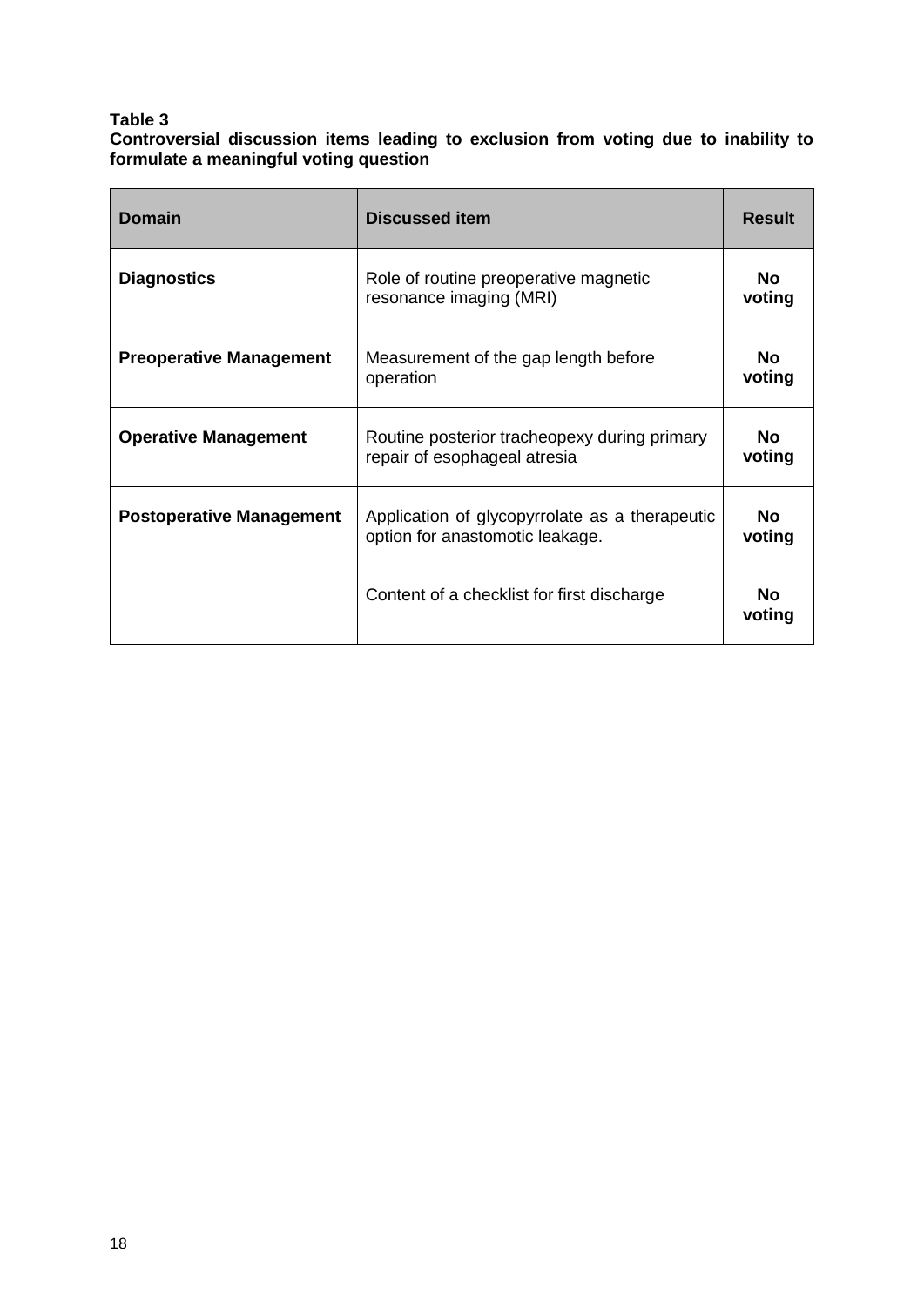#### **Table 3**

**Controversial discussion items leading to exclusion from voting due to inability to formulate a meaningful voting question**

| <b>Domain</b>                   | <b>Discussed item</b>                                                             | <b>Result</b>       |
|---------------------------------|-----------------------------------------------------------------------------------|---------------------|
| <b>Diagnostics</b>              | Role of routine preoperative magnetic<br>resonance imaging (MRI)                  | No.<br>voting       |
| <b>Preoperative Management</b>  | Measurement of the gap length before<br>operation                                 | No.<br>voting       |
| <b>Operative Management</b>     | Routine posterior tracheopexy during primary<br>repair of esophageal atresia      | No.<br>voting       |
| <b>Postoperative Management</b> | Application of glycopyrrolate as a therapeutic<br>option for anastomotic leakage. | <b>No</b><br>voting |
|                                 | Content of a checklist for first discharge                                        | Nο<br>voting        |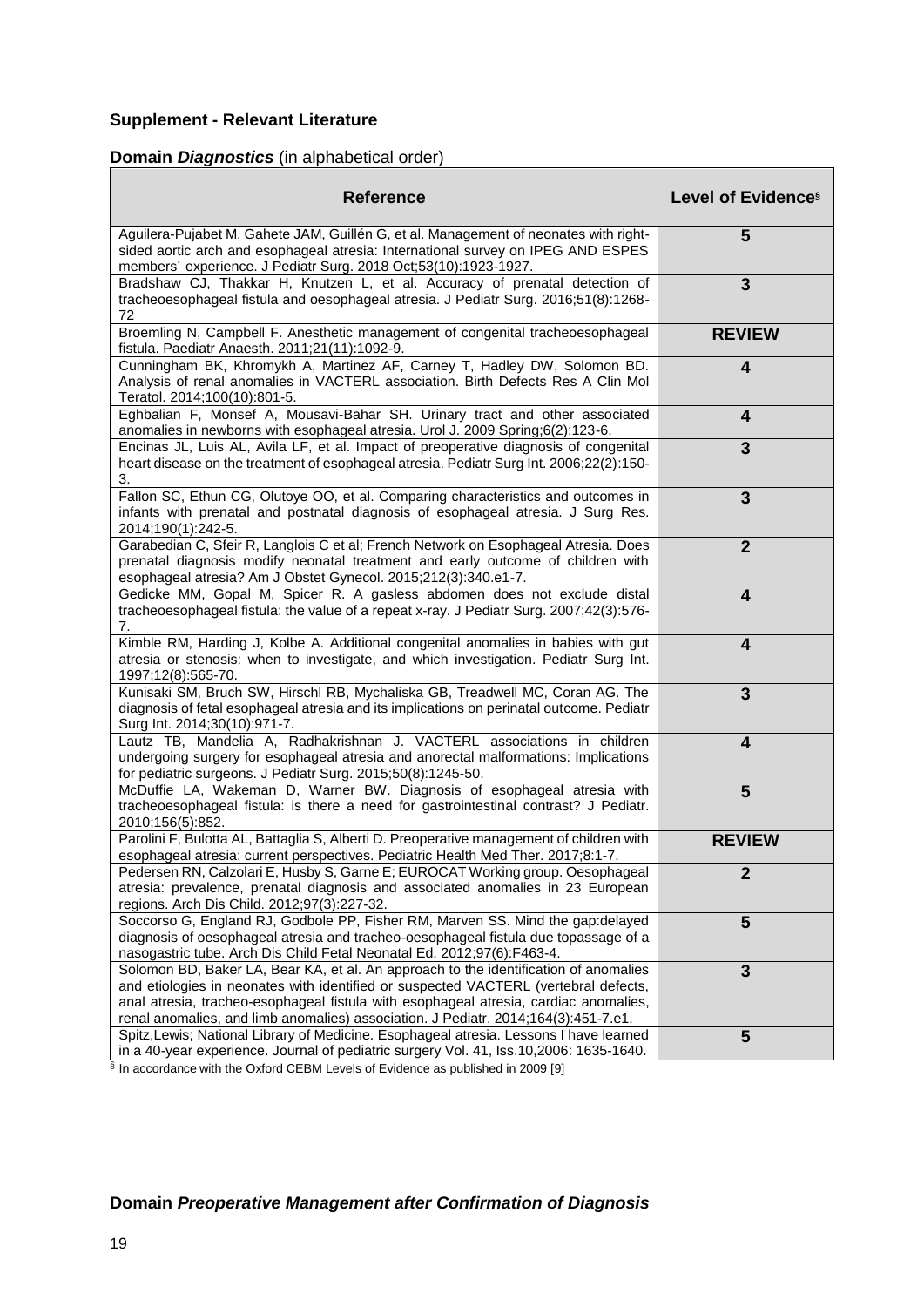# **Supplement - Relevant Literature**

# **Domain** *Diagnostics* (in alphabetical order)

| <b>Reference</b>                                                                                                                                                                                                                                                                                                                                          | Level of Evidence <sup>§</sup> |
|-----------------------------------------------------------------------------------------------------------------------------------------------------------------------------------------------------------------------------------------------------------------------------------------------------------------------------------------------------------|--------------------------------|
| Aguilera-Pujabet M, Gahete JAM, Guillén G, et al. Management of neonates with right-<br>sided aortic arch and esophageal atresia: International survey on IPEG AND ESPES<br>members' experience. J Pediatr Surg. 2018 Oct;53(10):1923-1927.                                                                                                               | 5                              |
| Bradshaw CJ, Thakkar H, Knutzen L, et al. Accuracy of prenatal detection of<br>tracheoesophageal fistula and oesophageal atresia. J Pediatr Surg. 2016;51(8):1268-<br>72                                                                                                                                                                                  | 3                              |
| Broemling N, Campbell F. Anesthetic management of congenital tracheoesophageal<br>fistula. Paediatr Anaesth. 2011;21(11):1092-9.                                                                                                                                                                                                                          | <b>REVIEW</b>                  |
| Cunningham BK, Khromykh A, Martinez AF, Carney T, Hadley DW, Solomon BD.<br>Analysis of renal anomalies in VACTERL association. Birth Defects Res A Clin Mol<br>Teratol. 2014;100(10):801-5.                                                                                                                                                              | 4                              |
| Eghbalian F, Monsef A, Mousavi-Bahar SH. Urinary tract and other associated<br>anomalies in newborns with esophageal atresia. Urol J. 2009 Spring;6(2):123-6.                                                                                                                                                                                             | $\overline{\mathbf{4}}$        |
| Encinas JL, Luis AL, Avila LF, et al. Impact of preoperative diagnosis of congenital<br>heart disease on the treatment of esophageal atresia. Pediatr Surg Int. 2006;22(2):150-<br>3.                                                                                                                                                                     | 3                              |
| Fallon SC, Ethun CG, Olutoye OO, et al. Comparing characteristics and outcomes in<br>infants with prenatal and postnatal diagnosis of esophageal atresia. J Surg Res.<br>2014;190(1):242-5.                                                                                                                                                               | $\overline{3}$                 |
| Garabedian C, Sfeir R, Langlois C et al; French Network on Esophageal Atresia. Does<br>prenatal diagnosis modify neonatal treatment and early outcome of children with<br>esophageal atresia? Am J Obstet Gynecol. 2015;212(3):340.e1-7.                                                                                                                  | $\overline{2}$                 |
| Gedicke MM, Gopal M, Spicer R. A gasless abdomen does not exclude distal<br>tracheoesophageal fistula: the value of a repeat x-ray. J Pediatr Surg. 2007;42(3):576-<br>7.                                                                                                                                                                                 | $\overline{\mathbf{4}}$        |
| Kimble RM, Harding J, Kolbe A. Additional congenital anomalies in babies with gut<br>atresia or stenosis: when to investigate, and which investigation. Pediatr Surg Int.<br>1997;12(8):565-70.                                                                                                                                                           | $\overline{\mathbf{4}}$        |
| Kunisaki SM, Bruch SW, Hirschl RB, Mychaliska GB, Treadwell MC, Coran AG. The<br>diagnosis of fetal esophageal atresia and its implications on perinatal outcome. Pediatr<br>Surg Int. 2014;30(10):971-7.                                                                                                                                                 | $\overline{3}$                 |
| Lautz TB, Mandelia A, Radhakrishnan J. VACTERL associations in children<br>undergoing surgery for esophageal atresia and anorectal malformations: Implications<br>for pediatric surgeons. J Pediatr Surg. 2015;50(8):1245-50.                                                                                                                             | $\overline{\mathbf{4}}$        |
| McDuffie LA, Wakeman D, Warner BW. Diagnosis of esophageal atresia with<br>tracheoesophageal fistula: is there a need for gastrointestinal contrast? J Pediatr.<br>2010;156(5):852.                                                                                                                                                                       | 5                              |
| Parolini F, Bulotta AL, Battaglia S, Alberti D. Preoperative management of children with<br>esophageal atresia: current perspectives. Pediatric Health Med Ther. 2017;8:1-7.                                                                                                                                                                              | <b>REVIEW</b>                  |
| Pedersen RN, Calzolari E, Husby S, Garne E; EUROCAT Working group. Oesophageal<br>atresia: prevalence, prenatal diagnosis and associated anomalies in 23 European<br>regions. Arch Dis Child. 2012;97(3):227-32.                                                                                                                                          | 2                              |
| Soccorso G, England RJ, Godbole PP, Fisher RM, Marven SS. Mind the gap:delayed<br>diagnosis of oesophageal atresia and tracheo-oesophageal fistula due topassage of a<br>nasogastric tube. Arch Dis Child Fetal Neonatal Ed. 2012;97(6):F463-4.                                                                                                           | 5                              |
| Solomon BD, Baker LA, Bear KA, et al. An approach to the identification of anomalies<br>and etiologies in neonates with identified or suspected VACTERL (vertebral defects,<br>anal atresia, tracheo-esophageal fistula with esophageal atresia, cardiac anomalies,<br>renal anomalies, and limb anomalies) association. J Pediatr. 2014;164(3):451-7.e1. | $\overline{3}$                 |
| Spitz, Lewis; National Library of Medicine. Esophageal atresia. Lessons I have learned<br>in a 40-year experience. Journal of pediatric surgery Vol. 41, Iss.10,2006: 1635-1640.                                                                                                                                                                          | 5                              |

§ In accordance with the Oxford CEBM Levels of Evidence as published in 2009 [9]

# **Domain** *Preoperative Management after Confirmation of Diagnosis*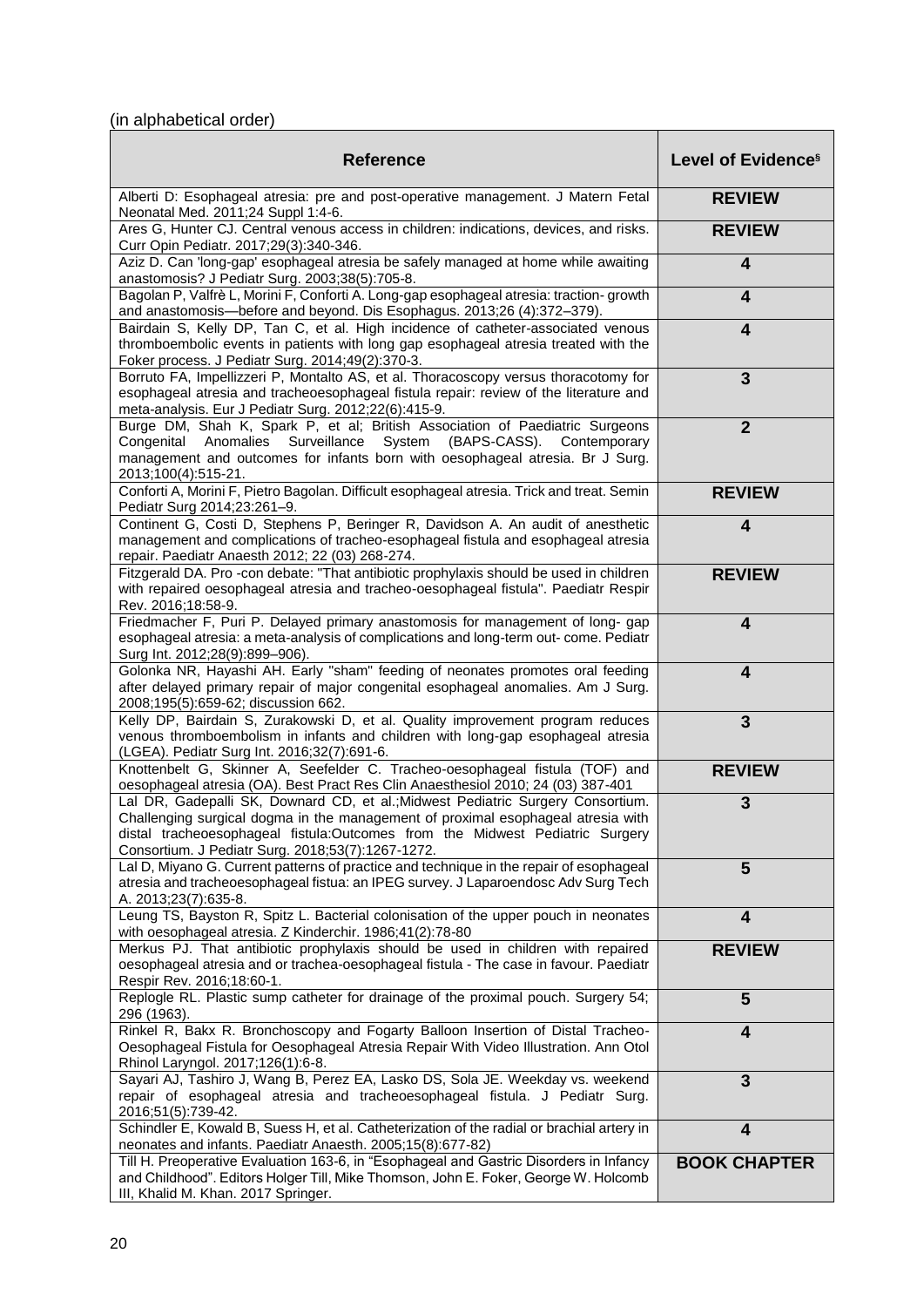# (in alphabetical order)

| <b>Reference</b>                                                                                                                                                                                                                                                                                         | Level of Evidence <sup>§</sup> |
|----------------------------------------------------------------------------------------------------------------------------------------------------------------------------------------------------------------------------------------------------------------------------------------------------------|--------------------------------|
| Alberti D: Esophageal atresia: pre and post-operative management. J Matern Fetal<br>Neonatal Med. 2011;24 Suppl 1:4-6.                                                                                                                                                                                   | <b>REVIEW</b>                  |
| Ares G, Hunter CJ. Central venous access in children: indications, devices, and risks.<br>Curr Opin Pediatr. 2017;29(3):340-346.                                                                                                                                                                         | <b>REVIEW</b>                  |
| Aziz D. Can 'long-gap' esophageal atresia be safely managed at home while awaiting<br>anastomosis? J Pediatr Surg. 2003;38(5):705-8.                                                                                                                                                                     | 4                              |
| Bagolan P, Valfrè L, Morini F, Conforti A. Long-gap esophageal atresia: traction- growth<br>and anastomosis-before and beyond. Dis Esophagus. 2013;26 (4):372-379).                                                                                                                                      | $\overline{\mathbf{4}}$        |
| Bairdain S, Kelly DP, Tan C, et al. High incidence of catheter-associated venous<br>thromboembolic events in patients with long gap esophageal atresia treated with the<br>Foker process. J Pediatr Surg. 2014;49(2):370-3.                                                                              | $\overline{\mathbf{4}}$        |
| Borruto FA, Impellizzeri P, Montalto AS, et al. Thoracoscopy versus thoracotomy for<br>esophageal atresia and tracheoesophageal fistula repair: review of the literature and<br>meta-analysis. Eur J Pediatr Surg. 2012;22(6):415-9.                                                                     | $\mathbf{3}$                   |
| Burge DM, Shah K, Spark P, et al; British Association of Paediatric Surgeons<br>System<br>(BAPS-CASS). Contemporary<br>Anomalies Surveillance<br>Congenital<br>management and outcomes for infants born with oesophageal atresia. Br J Surg.<br>2013;100(4):515-21.                                      | $\overline{2}$                 |
| Conforti A, Morini F, Pietro Bagolan. Difficult esophageal atresia. Trick and treat. Semin<br>Pediatr Surg 2014;23:261-9.                                                                                                                                                                                | <b>REVIEW</b>                  |
| Continent G, Costi D, Stephens P, Beringer R, Davidson A. An audit of anesthetic<br>management and complications of tracheo-esophageal fistula and esophageal atresia<br>repair. Paediatr Anaesth 2012; 22 (03) 268-274.                                                                                 | $\overline{\mathbf{4}}$        |
| Fitzgerald DA. Pro -con debate: "That antibiotic prophylaxis should be used in children<br>with repaired oesophageal atresia and tracheo-oesophageal fistula". Paediatr Respir<br>Rev. 2016;18:58-9.                                                                                                     | <b>REVIEW</b>                  |
| Friedmacher F, Puri P. Delayed primary anastomosis for management of long- gap<br>esophageal atresia: a meta-analysis of complications and long-term out- come. Pediatr<br>Surg Int. 2012;28(9):899-906).                                                                                                | $\overline{\mathbf{4}}$        |
| Golonka NR, Hayashi AH. Early "sham" feeding of neonates promotes oral feeding<br>after delayed primary repair of major congenital esophageal anomalies. Am J Surg.<br>2008;195(5):659-62; discussion 662.                                                                                               | $\overline{\mathbf{4}}$        |
| Kelly DP, Bairdain S, Zurakowski D, et al. Quality improvement program reduces<br>venous thromboembolism in infants and children with long-gap esophageal atresia<br>(LGEA). Pediatr Surg Int. 2016;32(7):691-6.                                                                                         | $\overline{3}$                 |
| Knottenbelt G, Skinner A, Seefelder C. Tracheo-oesophageal fistula (TOF) and<br>oesophageal atresia (OA). Best Pract Res Clin Anaesthesiol 2010; 24 (03) 387-401                                                                                                                                         | <b>REVIEW</b>                  |
| Lal DR, Gadepalli SK, Downard CD, et al.; Midwest Pediatric Surgery Consortium.<br>Challenging surgical dogma in the management of proximal esophageal atresia with<br>distal tracheoesophageal fistula:Outcomes from the Midwest Pediatric Surgery<br>Consortium. J Pediatr Surg. 2018;53(7):1267-1272. | 3                              |
| Lal D, Miyano G. Current patterns of practice and technique in the repair of esophageal<br>atresia and tracheoesophageal fistua: an IPEG survey. J Laparoendosc Adv Surg Tech<br>A. 2013;23(7):635-8.                                                                                                    | 5                              |
| Leung TS, Bayston R, Spitz L. Bacterial colonisation of the upper pouch in neonates<br>with oesophageal atresia. Z Kinderchir. 1986;41(2):78-80                                                                                                                                                          | $\overline{\mathbf{4}}$        |
| Merkus PJ. That antibiotic prophylaxis should be used in children with repaired<br>oesophageal atresia and or trachea-oesophageal fistula - The case in favour. Paediatr<br>Respir Rev. 2016;18:60-1.                                                                                                    | <b>REVIEW</b>                  |
| Replogle RL. Plastic sump catheter for drainage of the proximal pouch. Surgery 54;<br>296 (1963).                                                                                                                                                                                                        | 5                              |
| Rinkel R, Bakx R. Bronchoscopy and Fogarty Balloon Insertion of Distal Tracheo-<br>Oesophageal Fistula for Oesophageal Atresia Repair With Video Illustration. Ann Otol<br>Rhinol Laryngol. 2017;126(1):6-8.                                                                                             | 4                              |
| Sayari AJ, Tashiro J, Wang B, Perez EA, Lasko DS, Sola JE. Weekday vs. weekend<br>repair of esophageal atresia and tracheoesophageal fistula. J Pediatr Surg.<br>2016;51(5):739-42.                                                                                                                      | $\overline{3}$                 |
| Schindler E, Kowald B, Suess H, et al. Catheterization of the radial or brachial artery in<br>neonates and infants. Paediatr Anaesth. 2005;15(8):677-82)                                                                                                                                                 | $\overline{\mathbf{4}}$        |
| Till H. Preoperative Evaluation 163-6, in "Esophageal and Gastric Disorders in Infancy<br>and Childhood". Editors Holger Till, Mike Thomson, John E. Foker, George W. Holcomb<br>III, Khalid M. Khan. 2017 Springer.                                                                                     | <b>BOOK CHAPTER</b>            |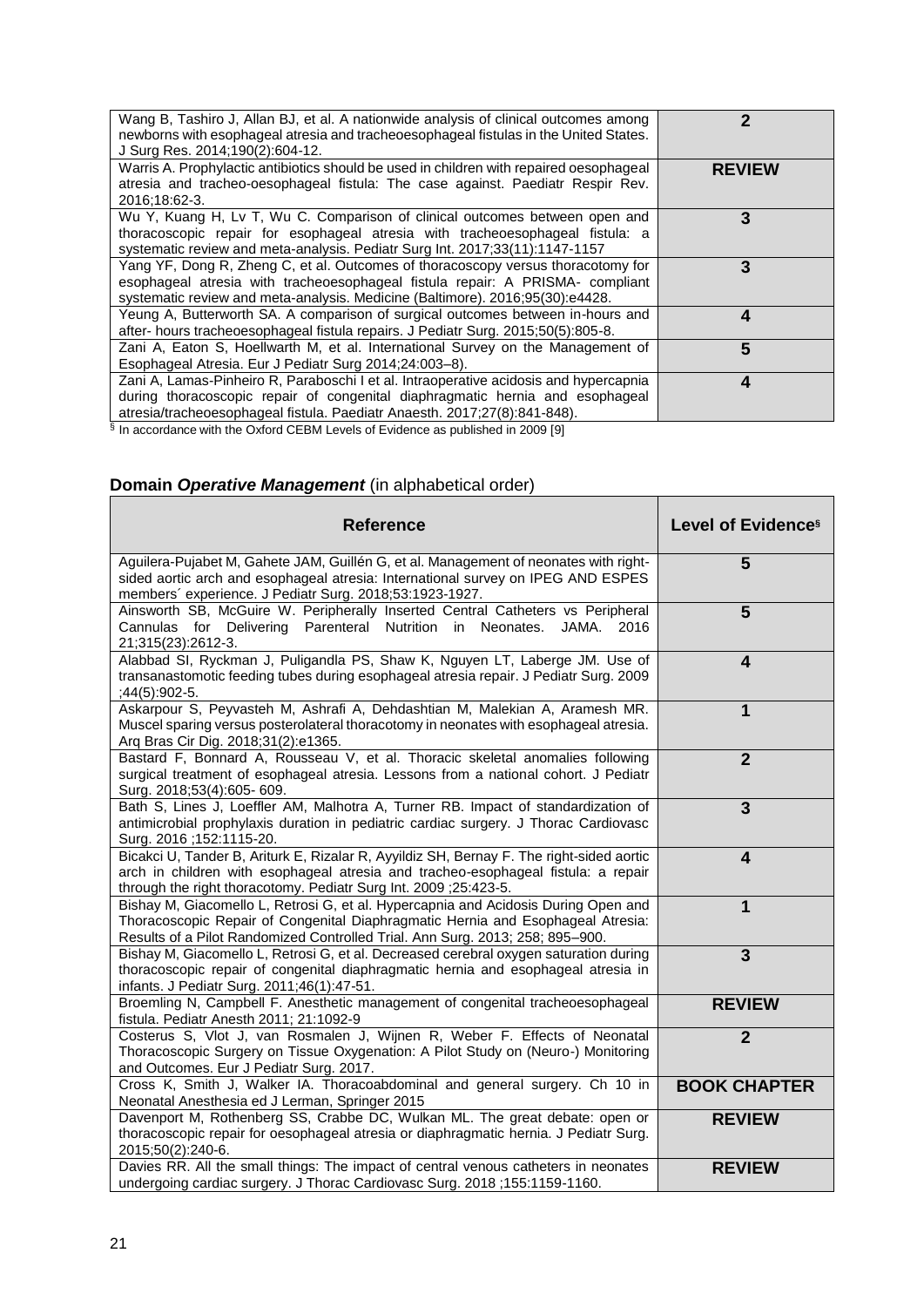| Wang B, Tashiro J, Allan BJ, et al. A nationwide analysis of clinical outcomes among<br>newborns with esophageal atresia and tracheoesophageal fistulas in the United States.<br>J Surg Res. 2014;190(2):604-12.                                    | 2             |
|-----------------------------------------------------------------------------------------------------------------------------------------------------------------------------------------------------------------------------------------------------|---------------|
| Warris A. Prophylactic antibiotics should be used in children with repaired oesophageal<br>atresia and tracheo-oesophageal fistula: The case against. Paediatr Respir Rev.<br>2016;18:62-3.                                                         | <b>REVIEW</b> |
| Wu Y, Kuang H, Lv T, Wu C. Comparison of clinical outcomes between open and<br>thoracoscopic repair for esophageal atresia with tracheoesophageal fistula: a<br>systematic review and meta-analysis. Pediatr Surg Int. 2017;33(11):1147-1157        | 3             |
| Yang YF, Dong R, Zheng C, et al. Outcomes of thoracoscopy versus thoracotomy for<br>esophageal atresia with tracheoesophageal fistula repair: A PRISMA- compliant<br>systematic review and meta-analysis. Medicine (Baltimore). 2016;95(30):e4428.  | 3             |
| Yeung A, Butterworth SA. A comparison of surgical outcomes between in-hours and<br>after- hours tracheoesophageal fistula repairs. J Pediatr Surg. 2015;50(5):805-8.                                                                                | 4             |
| Zani A, Eaton S, Hoellwarth M, et al. International Survey on the Management of<br>Esophageal Atresia. Eur J Pediatr Surg 2014;24:003-8).                                                                                                           | 5             |
| Zani A, Lamas-Pinheiro R, Paraboschi I et al. Intraoperative acidosis and hypercapnia<br>during thoracoscopic repair of congenital diaphragmatic hernia and esophageal<br>atresia/tracheoesophageal fistula. Paediatr Anaesth. 2017;27(8):841-848). | 4             |
| <sup>§</sup> In accordance with the Oxford CEBM Levels of Evidence as published in 2009 [9]                                                                                                                                                         |               |

# **Domain** *Operative Management* (in alphabetical order)

| <b>Reference</b>                                                                                                                                                                                                                                       | Level of Evidence <sup>§</sup> |
|--------------------------------------------------------------------------------------------------------------------------------------------------------------------------------------------------------------------------------------------------------|--------------------------------|
| Aguilera-Pujabet M, Gahete JAM, Guillén G, et al. Management of neonates with right-<br>sided aortic arch and esophageal atresia: International survey on IPEG AND ESPES<br>members' experience. J Pediatr Surg. 2018;53:1923-1927.                    | 5                              |
| Ainsworth SB, McGuire W. Peripherally Inserted Central Catheters vs Peripheral<br>Cannulas for Delivering<br>Parenteral Nutrition in Neonates.<br>JAMA. 2016<br>21;315(23):2612-3.                                                                     | 5                              |
| Alabbad SI, Ryckman J, Puligandla PS, Shaw K, Nguyen LT, Laberge JM. Use of<br>transanastomotic feeding tubes during esophageal atresia repair. J Pediatr Surg. 2009<br>$;44(5):902-5.$                                                                | $\overline{\mathbf{4}}$        |
| Askarpour S, Peyvasteh M, Ashrafi A, Dehdashtian M, Malekian A, Aramesh MR.<br>Muscel sparing versus posterolateral thoracotomy in neonates with esophageal atresia.<br>Arq Bras Cir Dig. 2018;31(2):e1365.                                            | 1                              |
| Bastard F, Bonnard A, Rousseau V, et al. Thoracic skeletal anomalies following<br>surgical treatment of esophageal atresia. Lessons from a national cohort. J Pediatr<br>Surg. 2018;53(4):605-609.                                                     | $\overline{2}$                 |
| Bath S, Lines J, Loeffler AM, Malhotra A, Turner RB. Impact of standardization of<br>antimicrobial prophylaxis duration in pediatric cardiac surgery. J Thorac Cardiovasc<br>Surg. 2016; 152:1115-20.                                                  | 3                              |
| Bicakci U, Tander B, Ariturk E, Rizalar R, Ayyildiz SH, Bernay F. The right-sided aortic<br>arch in children with esophageal atresia and tracheo-esophageal fistula: a repair<br>through the right thoracotomy. Pediatr Surg Int. 2009;25:423-5.       | $\overline{\mathbf{4}}$        |
| Bishay M, Giacomello L, Retrosi G, et al. Hypercapnia and Acidosis During Open and<br>Thoracoscopic Repair of Congenital Diaphragmatic Hernia and Esophageal Atresia:<br>Results of a Pilot Randomized Controlled Trial. Ann Surg. 2013; 258; 895-900. | 1                              |
| Bishay M, Giacomello L, Retrosi G, et al. Decreased cerebral oxygen saturation during<br>thoracoscopic repair of congenital diaphragmatic hernia and esophageal atresia in<br>infants. J Pediatr Surg. 2011;46(1):47-51.                               | 3                              |
| Broemling N, Campbell F. Anesthetic management of congenital tracheoesophageal<br>fistula. Pediatr Anesth 2011; 21:1092-9                                                                                                                              | <b>REVIEW</b>                  |
| Costerus S, Vlot J, van Rosmalen J, Wijnen R, Weber F. Effects of Neonatal<br>Thoracoscopic Surgery on Tissue Oxygenation: A Pilot Study on (Neuro-) Monitoring<br>and Outcomes. Eur J Pediatr Surg. 2017.                                             | $\overline{2}$                 |
| Cross K, Smith J, Walker IA. Thoracoabdominal and general surgery. Ch 10 in<br>Neonatal Anesthesia ed J Lerman, Springer 2015                                                                                                                          | <b>BOOK CHAPTER</b>            |
| Davenport M, Rothenberg SS, Crabbe DC, Wulkan ML. The great debate: open or<br>thoracoscopic repair for oesophageal atresia or diaphragmatic hernia. J Pediatr Surg.<br>2015;50(2):240-6.                                                              | <b>REVIEW</b>                  |
| Davies RR. All the small things: The impact of central venous catheters in neonates<br>undergoing cardiac surgery. J Thorac Cardiovasc Surg. 2018;155:1159-1160.                                                                                       | <b>REVIEW</b>                  |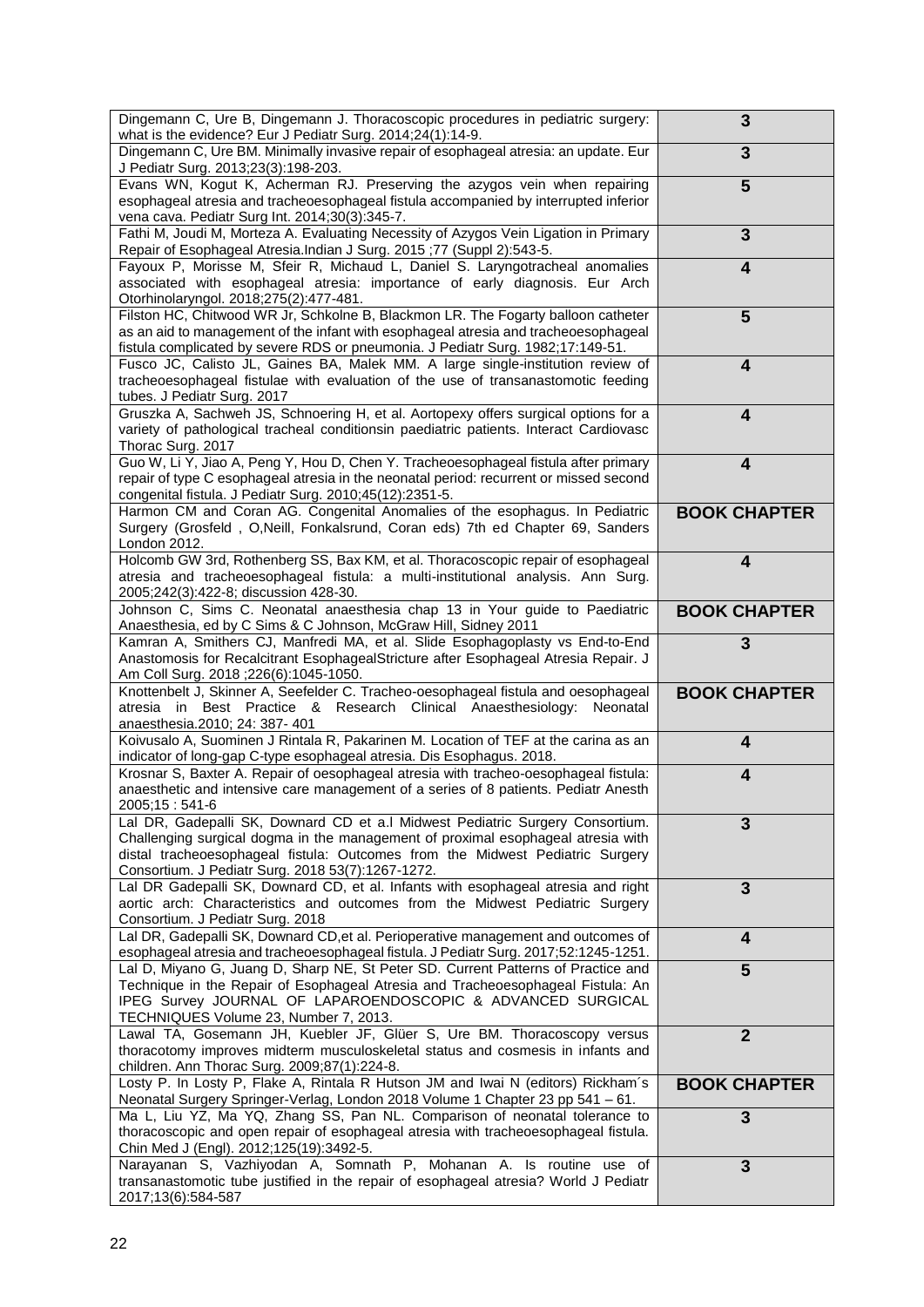| Dingemann C, Ure B, Dingemann J. Thoracoscopic procedures in pediatric surgery:<br>what is the evidence? Eur J Pediatr Surg. 2014;24(1):14-9.                        | 3                       |
|----------------------------------------------------------------------------------------------------------------------------------------------------------------------|-------------------------|
| Dingemann C, Ure BM. Minimally invasive repair of esophageal atresia: an update. Eur                                                                                 | 3                       |
| J Pediatr Surg. 2013;23(3):198-203.                                                                                                                                  |                         |
| Evans WN, Kogut K, Acherman RJ. Preserving the azygos vein when repairing<br>esophageal atresia and tracheoesophageal fistula accompanied by interrupted inferior    | 5                       |
| vena cava. Pediatr Surg Int. 2014;30(3):345-7.                                                                                                                       |                         |
| Fathi M, Joudi M, Morteza A. Evaluating Necessity of Azygos Vein Ligation in Primary                                                                                 | 3                       |
| Repair of Esophageal Atresia.Indian J Surg. 2015;77 (Suppl 2):543-5.                                                                                                 |                         |
| Fayoux P, Morisse M, Sfeir R, Michaud L, Daniel S. Laryngotracheal anomalies<br>associated with esophageal atresia: importance of early diagnosis. Eur Arch          | 4                       |
| Otorhinolaryngol. 2018;275(2):477-481.                                                                                                                               |                         |
| Filston HC, Chitwood WR Jr, Schkolne B, Blackmon LR. The Fogarty balloon catheter                                                                                    | 5                       |
| as an aid to management of the infant with esophageal atresia and tracheoesophageal                                                                                  |                         |
| fistula complicated by severe RDS or pneumonia. J Pediatr Surg. 1982;17:149-51.<br>Fusco JC, Calisto JL, Gaines BA, Malek MM. A large single-institution review of   | 4                       |
| tracheoesophageal fistulae with evaluation of the use of transanastomotic feeding                                                                                    |                         |
| tubes. J Pediatr Surg. 2017                                                                                                                                          |                         |
| Gruszka A, Sachweh JS, Schnoering H, et al. Aortopexy offers surgical options for a                                                                                  | 4                       |
| variety of pathological tracheal conditionsin paediatric patients. Interact Cardiovasc<br>Thorac Surg. 2017                                                          |                         |
| Guo W, Li Y, Jiao A, Peng Y, Hou D, Chen Y. Tracheoesophageal fistula after primary                                                                                  | $\overline{\mathbf{4}}$ |
| repair of type C esophageal atresia in the neonatal period: recurrent or missed second                                                                               |                         |
| congenital fistula. J Pediatr Surg. 2010;45(12):2351-5.                                                                                                              |                         |
| Harmon CM and Coran AG. Congenital Anomalies of the esophagus. In Pediatric<br>Surgery (Grosfeld, O, Neill, Fonkalsrund, Coran eds) 7th ed Chapter 69, Sanders       | <b>BOOK CHAPTER</b>     |
| London 2012.                                                                                                                                                         |                         |
| Holcomb GW 3rd, Rothenberg SS, Bax KM, et al. Thoracoscopic repair of esophageal                                                                                     | 4                       |
| atresia and tracheoesophageal fistula: a multi-institutional analysis. Ann Surg.                                                                                     |                         |
| 2005;242(3):422-8; discussion 428-30.<br>Johnson C, Sims C. Neonatal anaesthesia chap 13 in Your guide to Paediatric                                                 | <b>BOOK CHAPTER</b>     |
| Anaesthesia, ed by C Sims & C Johnson, McGraw Hill, Sidney 2011                                                                                                      |                         |
| Kamran A, Smithers CJ, Manfredi MA, et al. Slide Esophagoplasty vs End-to-End                                                                                        | 3                       |
| Anastomosis for Recalcitrant EsophagealStricture after Esophageal Atresia Repair. J                                                                                  |                         |
| Am Coll Surg. 2018; 226(6): 1045-1050.<br>Knottenbelt J, Skinner A, Seefelder C. Tracheo-oesophageal fistula and oesophageal                                         | <b>BOOK CHAPTER</b>     |
| atresia in Best Practice & Research Clinical Anaesthesiology:<br>Neonatal                                                                                            |                         |
| anaesthesia.2010; 24: 387- 401                                                                                                                                       |                         |
| Koivusalo A, Suominen J Rintala R, Pakarinen M. Location of TEF at the carina as an<br>indicator of long-gap C-type esophageal atresia. Dis Esophagus. 2018.         | 4                       |
| Krosnar S, Baxter A. Repair of oesophageal atresia with tracheo-oesophageal fistula:                                                                                 | 4                       |
| anaesthetic and intensive care management of a series of 8 patients. Pediatr Anesth                                                                                  |                         |
| 2005;15:541-6                                                                                                                                                        |                         |
| Lal DR, Gadepalli SK, Downard CD et a.l Midwest Pediatric Surgery Consortium.<br>Challenging surgical dogma in the management of proximal esophageal atresia with    | 3                       |
| distal tracheoesophageal fistula: Outcomes from the Midwest Pediatric Surgery                                                                                        |                         |
| Consortium. J Pediatr Surg. 2018 53(7):1267-1272.                                                                                                                    |                         |
| Lal DR Gadepalli SK, Downard CD, et al. Infants with esophageal atresia and right<br>aortic arch: Characteristics and outcomes from the Midwest Pediatric Surgery    | 3                       |
| Consortium. J Pediatr Surg. 2018                                                                                                                                     |                         |
| Lal DR, Gadepalli SK, Downard CD, et al. Perioperative management and outcomes of                                                                                    | $\overline{\mathbf{4}}$ |
| esophageal atresia and tracheoesophageal fistula. J Pediatr Surg. 2017;52:1245-1251.                                                                                 |                         |
| Lal D, Miyano G, Juang D, Sharp NE, St Peter SD. Current Patterns of Practice and<br>Technique in the Repair of Esophageal Atresia and Tracheoesophageal Fistula: An | 5                       |
| IPEG Survey JOURNAL OF LAPAROENDOSCOPIC & ADVANCED SURGICAL                                                                                                          |                         |
| TECHNIQUES Volume 23, Number 7, 2013.                                                                                                                                |                         |
| Lawal TA, Gosemann JH, Kuebler JF, Glüer S, Ure BM. Thoracoscopy versus                                                                                              | $\overline{2}$          |
| thoracotomy improves midterm musculoskeletal status and cosmesis in infants and<br>children. Ann Thorac Surg. 2009;87(1):224-8.                                      |                         |
| Losty P. In Losty P, Flake A, Rintala R Hutson JM and Iwai N (editors) Rickham's                                                                                     | <b>BOOK CHAPTER</b>     |
| Neonatal Surgery Springer-Verlag, London 2018 Volume 1 Chapter 23 pp 541 - 61.                                                                                       |                         |
| Ma L, Liu YZ, Ma YQ, Zhang SS, Pan NL. Comparison of neonatal tolerance to                                                                                           | 3                       |
| thoracoscopic and open repair of esophageal atresia with tracheoesophageal fistula.<br>Chin Med J (Engl). 2012;125(19):3492-5.                                       |                         |
| Narayanan S, Vazhiyodan A, Somnath P, Mohanan A. Is routine use of                                                                                                   | 3                       |
|                                                                                                                                                                      |                         |
| transanastomotic tube justified in the repair of esophageal atresia? World J Pediatr<br>2017;13(6):584-587                                                           |                         |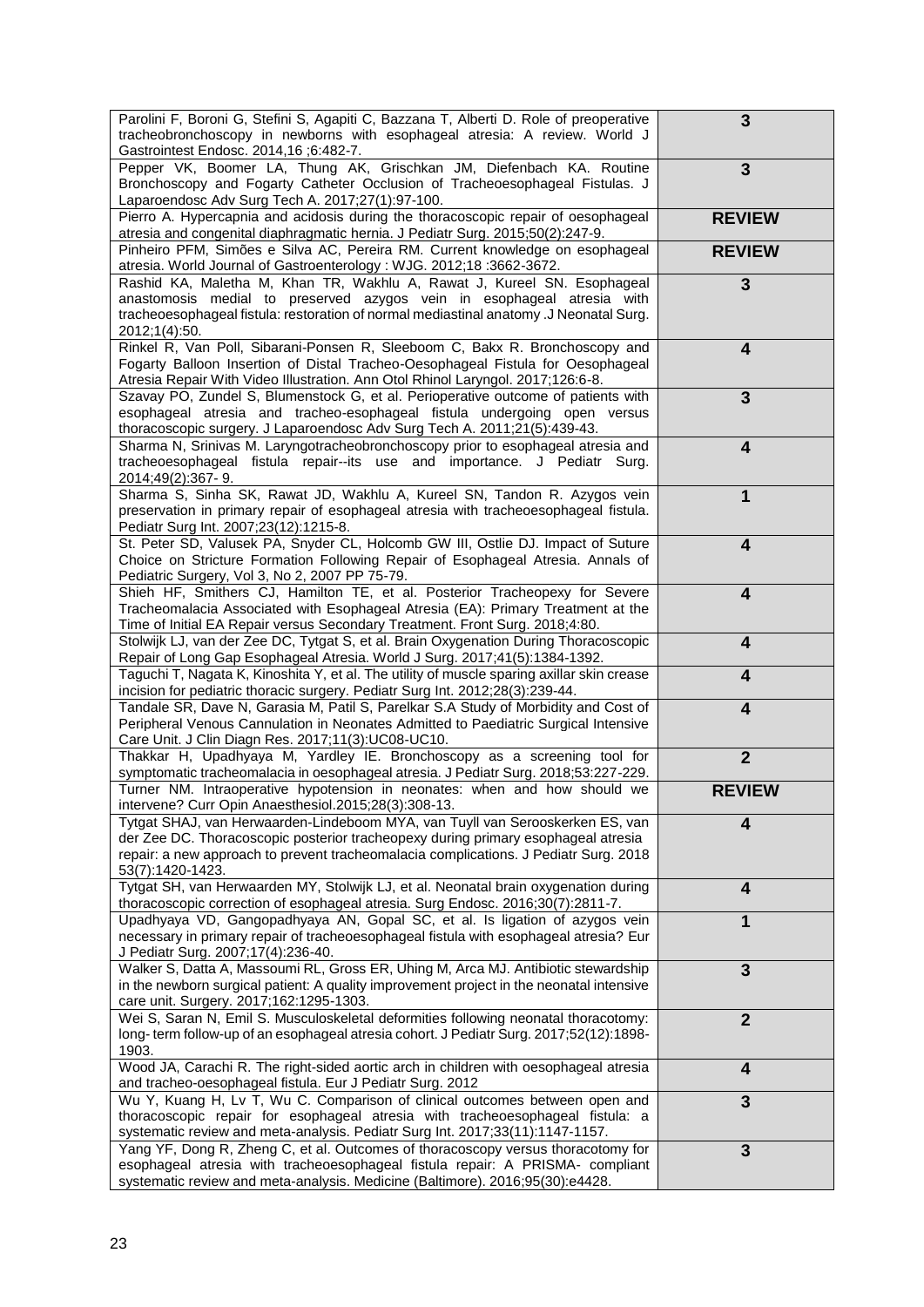| Parolini F, Boroni G, Stefini S, Agapiti C, Bazzana T, Alberti D. Role of preoperative<br>tracheobronchoscopy in newborns with esophageal atresia: A review. World J<br>Gastrointest Endosc. 2014,16;6:482-7.                                                                  | 3                       |
|--------------------------------------------------------------------------------------------------------------------------------------------------------------------------------------------------------------------------------------------------------------------------------|-------------------------|
| Pepper VK, Boomer LA, Thung AK, Grischkan JM, Diefenbach KA. Routine<br>Bronchoscopy and Fogarty Catheter Occlusion of Tracheoesophageal Fistulas. J<br>Laparoendosc Adv Surg Tech A. 2017;27(1):97-100.                                                                       | 3                       |
| Pierro A. Hypercapnia and acidosis during the thoracoscopic repair of oesophageal<br>atresia and congenital diaphragmatic hernia. J Pediatr Surg. 2015;50(2):247-9.                                                                                                            | <b>REVIEW</b>           |
| Pinheiro PFM, Simões e Silva AC, Pereira RM. Current knowledge on esophageal<br>atresia. World Journal of Gastroenterology: WJG. 2012;18:3662-3672.                                                                                                                            | <b>REVIEW</b>           |
| Rashid KA, Maletha M, Khan TR, Wakhlu A, Rawat J, Kureel SN. Esophageal<br>anastomosis medial to preserved azygos vein in esophageal atresia with<br>tracheoesophageal fistula: restoration of normal mediastinal anatomy .J Neonatal Surg.<br>2012;1(4):50.                   | 3                       |
| Rinkel R, Van Poll, Sibarani-Ponsen R, Sleeboom C, Bakx R. Bronchoscopy and<br>Fogarty Balloon Insertion of Distal Tracheo-Oesophageal Fistula for Oesophageal<br>Atresia Repair With Video Illustration. Ann Otol Rhinol Laryngol. 2017;126:6-8.                              | 4                       |
| Szavay PO, Zundel S, Blumenstock G, et al. Perioperative outcome of patients with<br>esophageal atresia and tracheo-esophageal fistula undergoing open versus<br>thoracoscopic surgery. J Laparoendosc Adv Surg Tech A. 2011;21(5):439-43.                                     | 3                       |
| Sharma N, Srinivas M. Laryngotracheobronchoscopy prior to esophageal atresia and<br>tracheoesophageal fistula repair--its use and importance. J Pediatr Surg.<br>2014;49(2):367-9.                                                                                             | $\overline{\mathbf{4}}$ |
| Sharma S, Sinha SK, Rawat JD, Wakhlu A, Kureel SN, Tandon R. Azygos vein<br>preservation in primary repair of esophageal atresia with tracheoesophageal fistula.<br>Pediatr Surg Int. 2007;23(12):1215-8.                                                                      | 1                       |
| St. Peter SD, Valusek PA, Snyder CL, Holcomb GW III, Ostlie DJ. Impact of Suture<br>Choice on Stricture Formation Following Repair of Esophageal Atresia. Annals of<br>Pediatric Surgery, Vol 3, No 2, 2007 PP 75-79.                                                          | $\overline{\mathbf{4}}$ |
| Shieh HF, Smithers CJ, Hamilton TE, et al. Posterior Tracheopexy for Severe<br>Tracheomalacia Associated with Esophageal Atresia (EA): Primary Treatment at the<br>Time of Initial EA Repair versus Secondary Treatment. Front Surg. 2018;4:80.                                | $\overline{\mathbf{4}}$ |
| Stolwijk LJ, van der Zee DC, Tytgat S, et al. Brain Oxygenation During Thoracoscopic<br>Repair of Long Gap Esophageal Atresia. World J Surg. 2017;41(5):1384-1392.                                                                                                             | 4                       |
| Taguchi T, Nagata K, Kinoshita Y, et al. The utility of muscle sparing axillar skin crease<br>incision for pediatric thoracic surgery. Pediatr Surg Int. 2012;28(3):239-44.                                                                                                    | 4                       |
| Tandale SR, Dave N, Garasia M, Patil S, Parelkar S.A Study of Morbidity and Cost of<br>Peripheral Venous Cannulation in Neonates Admitted to Paediatric Surgical Intensive<br>Care Unit. J Clin Diagn Res. 2017;11(3):UC08-UC10.                                               | 4                       |
| Thakkar H, Upadhyaya M, Yardley IE. Bronchoscopy as a screening tool for<br>symptomatic tracheomalacia in oesophageal atresia. J Pediatr Surg. 2018;53:227-229.                                                                                                                | $\overline{2}$          |
| Turner NM. Intraoperative hypotension in neonates: when and how should we<br>intervene? Curr Opin Anaesthesiol.2015;28(3):308-13.                                                                                                                                              | <b>REVIEW</b>           |
| Tytgat SHAJ, van Herwaarden-Lindeboom MYA, van Tuyll van Serooskerken ES, van<br>der Zee DC. Thoracoscopic posterior tracheopexy during primary esophageal atresia<br>repair: a new approach to prevent tracheomalacia complications. J Pediatr Surg. 2018<br>53(7):1420-1423. | 4                       |
| Tytgat SH, van Herwaarden MY, Stolwijk LJ, et al. Neonatal brain oxygenation during<br>thoracoscopic correction of esophageal atresia. Surg Endosc. 2016;30(7):2811-7.                                                                                                         | 4                       |
| Upadhyaya VD, Gangopadhyaya AN, Gopal SC, et al. Is ligation of azygos vein<br>necessary in primary repair of tracheoesophageal fistula with esophageal atresia? Eur<br>J Pediatr Surg. 2007;17(4):236-40.                                                                     | 1                       |
| Walker S, Datta A, Massoumi RL, Gross ER, Uhing M, Arca MJ. Antibiotic stewardship<br>in the newborn surgical patient: A quality improvement project in the neonatal intensive<br>care unit. Surgery. 2017;162:1295-1303.                                                      | 3                       |
| Wei S, Saran N, Emil S. Musculoskeletal deformities following neonatal thoracotomy:<br>long-term follow-up of an esophageal atresia cohort. J Pediatr Surg. 2017;52(12):1898-<br>1903.                                                                                         | $\overline{2}$          |
| Wood JA, Carachi R. The right-sided aortic arch in children with oesophageal atresia<br>and tracheo-oesophageal fistula. Eur J Pediatr Surg. 2012                                                                                                                              | 4                       |
| Wu Y, Kuang H, Lv T, Wu C. Comparison of clinical outcomes between open and<br>thoracoscopic repair for esophageal atresia with tracheoesophageal fistula: a<br>systematic review and meta-analysis. Pediatr Surg Int. 2017;33(11):1147-1157.                                  | 3                       |
| Yang YF, Dong R, Zheng C, et al. Outcomes of thoracoscopy versus thoracotomy for<br>esophageal atresia with tracheoesophageal fistula repair: A PRISMA- compliant<br>systematic review and meta-analysis. Medicine (Baltimore). 2016;95(30):e4428.                             | 3                       |